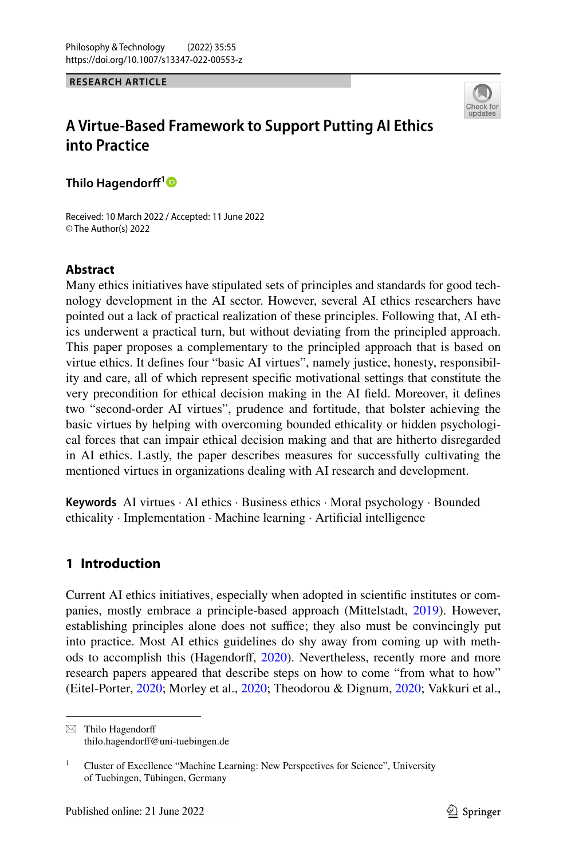**RESEARCH ARTICLE**



# **A Virtue‑Based Framework to Support Putting AI Ethics into Practice**

**Thilo Hagendorf[1](http://orcid.org/0000-0002-4633-2153)**

Received: 10 March 2022 / Accepted: 11 June 2022 © The Author(s) 2022

# **Abstract**

Many ethics initiatives have stipulated sets of principles and standards for good technology development in the AI sector. However, several AI ethics researchers have pointed out a lack of practical realization of these principles. Following that, AI ethics underwent a practical turn, but without deviating from the principled approach. This paper proposes a complementary to the principled approach that is based on virtue ethics. It defnes four "basic AI virtues", namely justice, honesty, responsibility and care, all of which represent specifc motivational settings that constitute the very precondition for ethical decision making in the AI feld. Moreover, it defnes two "second-order AI virtues", prudence and fortitude, that bolster achieving the basic virtues by helping with overcoming bounded ethicality or hidden psychological forces that can impair ethical decision making and that are hitherto disregarded in AI ethics. Lastly, the paper describes measures for successfully cultivating the mentioned virtues in organizations dealing with AI research and development.

**Keywords** AI virtues · AI ethics · Business ethics · Moral psychology · Bounded ethicality · Implementation · Machine learning · Artifcial intelligence

# **1 Introduction**

Current AI ethics initiatives, especially when adopted in scientifc institutes or companies, mostly embrace a principle-based approach (Mittelstadt, [2019](#page-22-0)). However, establishing principles alone does not suffice; they also must be convincingly put into practice. Most AI ethics guidelines do shy away from coming up with methods to accomplish this (Hagendorf, [2020\)](#page-21-0). Nevertheless, recently more and more research papers appeared that describe steps on how to come "from what to how" (Eitel-Porter, [2020;](#page-20-0) Morley et al., [2020;](#page-22-1) Theodorou & Dignum, [2020;](#page-22-2) Vakkuri et al.,

 $\boxtimes$  Thilo Hagendorff thilo.hagendorff@uni-tuebingen.de

<sup>&</sup>lt;sup>1</sup> Cluster of Excellence "Machine Learning: New Perspectives for Science", University of Tuebingen, Tübingen, Germany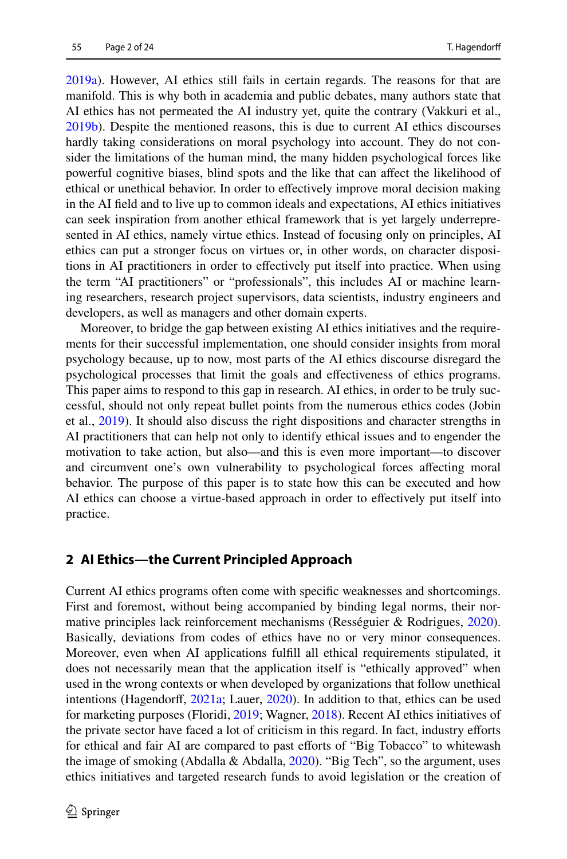[2019a](#page-23-0)). However, AI ethics still fails in certain regards. The reasons for that are manifold. This is why both in academia and public debates, many authors state that AI ethics has not permeated the AI industry yet, quite the contrary (Vakkuri et al., [2019b](#page-23-1)). Despite the mentioned reasons, this is due to current AI ethics discourses hardly taking considerations on moral psychology into account. They do not consider the limitations of the human mind, the many hidden psychological forces like powerful cognitive biases, blind spots and the like that can afect the likelihood of ethical or unethical behavior. In order to efectively improve moral decision making in the AI feld and to live up to common ideals and expectations, AI ethics initiatives can seek inspiration from another ethical framework that is yet largely underrepresented in AI ethics, namely virtue ethics. Instead of focusing only on principles, AI ethics can put a stronger focus on virtues or, in other words, on character dispositions in AI practitioners in order to efectively put itself into practice. When using the term "AI practitioners" or "professionals", this includes AI or machine learning researchers, research project supervisors, data scientists, industry engineers and developers, as well as managers and other domain experts.

Moreover, to bridge the gap between existing AI ethics initiatives and the requirements for their successful implementation, one should consider insights from moral psychology because, up to now, most parts of the AI ethics discourse disregard the psychological processes that limit the goals and efectiveness of ethics programs. This paper aims to respond to this gap in research. AI ethics, in order to be truly successful, should not only repeat bullet points from the numerous ethics codes (Jobin et al., [2019\)](#page-21-1). It should also discuss the right dispositions and character strengths in AI practitioners that can help not only to identify ethical issues and to engender the motivation to take action, but also—and this is even more important—to discover and circumvent one's own vulnerability to psychological forces afecting moral behavior. The purpose of this paper is to state how this can be executed and how AI ethics can choose a virtue-based approach in order to efectively put itself into practice.

# **2 AI Ethics—the Current Principled Approach**

Current AI ethics programs often come with specifc weaknesses and shortcomings. First and foremost, without being accompanied by binding legal norms, their normative principles lack reinforcement mechanisms (Rességuier & Rodrigues, [2020\)](#page-22-3). Basically, deviations from codes of ethics have no or very minor consequences. Moreover, even when AI applications fulfll all ethical requirements stipulated, it does not necessarily mean that the application itself is "ethically approved" when used in the wrong contexts or when developed by organizations that follow unethical intentions (Hagendorff, [2021a](#page-21-2); Lauer, [2020\)](#page-21-3). In addition to that, ethics can be used for marketing purposes (Floridi, [2019](#page-20-1); Wagner, [2018\)](#page-23-2). Recent AI ethics initiatives of the private sector have faced a lot of criticism in this regard. In fact, industry eforts for ethical and fair AI are compared to past efforts of "Big Tobacco" to whitewash the image of smoking (Abdalla & Abdalla,  $2020$ ). "Big Tech", so the argument, uses ethics initiatives and targeted research funds to avoid legislation or the creation of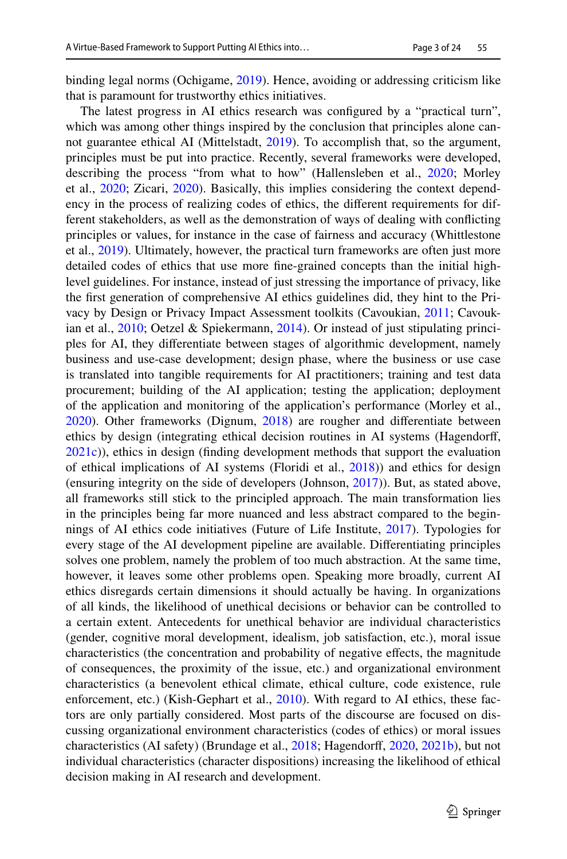binding legal norms (Ochigame, [2019](#page-22-4)). Hence, avoiding or addressing criticism like that is paramount for trustworthy ethics initiatives.

The latest progress in AI ethics research was confgured by a "practical turn", which was among other things inspired by the conclusion that principles alone cannot guarantee ethical AI (Mittelstadt, [2019](#page-22-0)). To accomplish that, so the argument, principles must be put into practice. Recently, several frameworks were developed, describing the process "from what to how" (Hallensleben et al., [2020;](#page-21-4) Morley et al., [2020;](#page-22-1) Zicari, [2020](#page-23-3)). Basically, this implies considering the context dependency in the process of realizing codes of ethics, the diferent requirements for different stakeholders, as well as the demonstration of ways of dealing with conficting principles or values, for instance in the case of fairness and accuracy (Whittlestone et al., [2019\)](#page-23-4). Ultimately, however, the practical turn frameworks are often just more detailed codes of ethics that use more fne-grained concepts than the initial highlevel guidelines. For instance, instead of just stressing the importance of privacy, like the frst generation of comprehensive AI ethics guidelines did, they hint to the Privacy by Design or Privacy Impact Assessment toolkits (Cavoukian, [2011](#page-20-2); Cavoukian et al., [2010](#page-20-3); Oetzel & Spiekermann, [2014\)](#page-22-5). Or instead of just stipulating principles for AI, they diferentiate between stages of algorithmic development, namely business and use-case development; design phase, where the business or use case is translated into tangible requirements for AI practitioners; training and test data procurement; building of the AI application; testing the application; deployment of the application and monitoring of the application's performance (Morley et al., [2020](#page-22-1)). Other frameworks (Dignum, [2018\)](#page-20-4) are rougher and diferentiate between ethics by design (integrating ethical decision routines in AI systems (Hagendorf, [2021c](#page-21-5))), ethics in design (fnding development methods that support the evaluation of ethical implications of AI systems (Floridi et al., [2018\)](#page-20-5)) and ethics for design (ensuring integrity on the side of developers (Johnson, [2017\)](#page-21-6)). But, as stated above, all frameworks still stick to the principled approach. The main transformation lies in the principles being far more nuanced and less abstract compared to the beginnings of AI ethics code initiatives (Future of Life Institute, [2017](#page-20-6)). Typologies for every stage of the AI development pipeline are available. Diferentiating principles solves one problem, namely the problem of too much abstraction. At the same time, however, it leaves some other problems open. Speaking more broadly, current AI ethics disregards certain dimensions it should actually be having. In organizations of all kinds, the likelihood of unethical decisions or behavior can be controlled to a certain extent. Antecedents for unethical behavior are individual characteristics (gender, cognitive moral development, idealism, job satisfaction, etc.), moral issue characteristics (the concentration and probability of negative efects, the magnitude of consequences, the proximity of the issue, etc.) and organizational environment characteristics (a benevolent ethical climate, ethical culture, code existence, rule enforcement, etc.) (Kish-Gephart et al., [2010](#page-21-7)). With regard to AI ethics, these factors are only partially considered. Most parts of the discourse are focused on discussing organizational environment characteristics (codes of ethics) or moral issues characteristics (AI safety) (Brundage et al., [2018;](#page-20-7) Hagendorff, [2020,](#page-21-0) [2021b\)](#page-21-8), but not individual characteristics (character dispositions) increasing the likelihood of ethical decision making in AI research and development.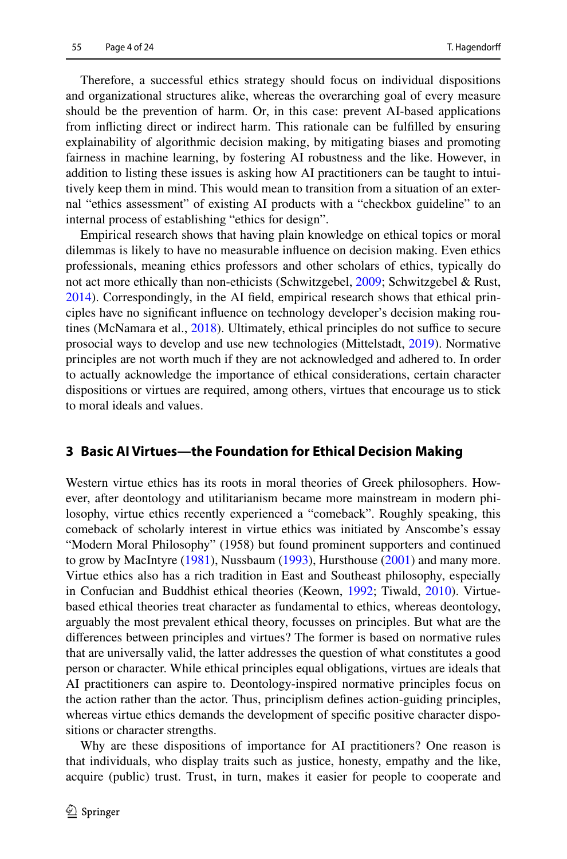Therefore, a successful ethics strategy should focus on individual dispositions and organizational structures alike, whereas the overarching goal of every measure should be the prevention of harm. Or, in this case: prevent AI-based applications from inficting direct or indirect harm. This rationale can be fulflled by ensuring explainability of algorithmic decision making, by mitigating biases and promoting fairness in machine learning, by fostering AI robustness and the like. However, in addition to listing these issues is asking how AI practitioners can be taught to intuitively keep them in mind. This would mean to transition from a situation of an external "ethics assessment" of existing AI products with a "checkbox guideline" to an internal process of establishing "ethics for design".

Empirical research shows that having plain knowledge on ethical topics or moral dilemmas is likely to have no measurable infuence on decision making. Even ethics professionals, meaning ethics professors and other scholars of ethics, typically do not act more ethically than non-ethicists (Schwitzgebel, [2009;](#page-22-6) Schwitzgebel & Rust, [2014](#page-22-7)). Correspondingly, in the AI feld, empirical research shows that ethical principles have no signifcant infuence on technology developer's decision making rou-tines (McNamara et al., [2018](#page-22-8)). Ultimately, ethical principles do not suffice to secure prosocial ways to develop and use new technologies (Mittelstadt, [2019\)](#page-22-0). Normative principles are not worth much if they are not acknowledged and adhered to. In order to actually acknowledge the importance of ethical considerations, certain character dispositions or virtues are required, among others, virtues that encourage us to stick to moral ideals and values.

# **3 Basic AI Virtues—the Foundation for Ethical Decision Making**

Western virtue ethics has its roots in moral theories of Greek philosophers. However, after deontology and utilitarianism became more mainstream in modern philosophy, virtue ethics recently experienced a "comeback". Roughly speaking, this comeback of scholarly interest in virtue ethics was initiated by Anscombe's essay "Modern Moral Philosophy" (1958) but found prominent supporters and continued to grow by MacIntyre [\(1981](#page-21-9)), Nussbaum [\(1993](#page-22-9)), Hursthouse ([2001\)](#page-21-10) and many more. Virtue ethics also has a rich tradition in East and Southeast philosophy, especially in Confucian and Buddhist ethical theories (Keown, [1992](#page-21-11); Tiwald, [2010\)](#page-22-10). Virtuebased ethical theories treat character as fundamental to ethics, whereas deontology, arguably the most prevalent ethical theory, focusses on principles. But what are the diferences between principles and virtues? The former is based on normative rules that are universally valid, the latter addresses the question of what constitutes a good person or character. While ethical principles equal obligations, virtues are ideals that AI practitioners can aspire to. Deontology-inspired normative principles focus on the action rather than the actor. Thus, principlism defnes action-guiding principles, whereas virtue ethics demands the development of specifc positive character dispositions or character strengths.

Why are these dispositions of importance for AI practitioners? One reason is that individuals, who display traits such as justice, honesty, empathy and the like, acquire (public) trust. Trust, in turn, makes it easier for people to cooperate and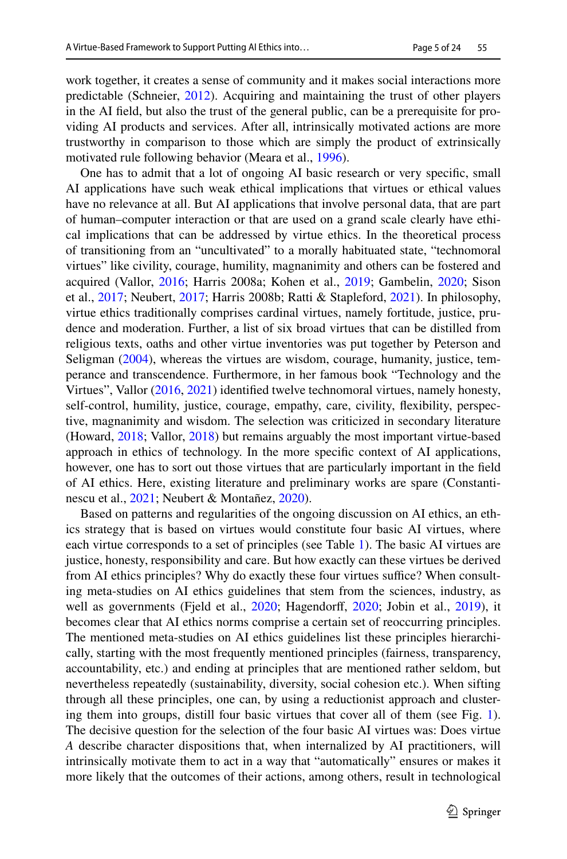work together, it creates a sense of community and it makes social interactions more predictable (Schneier, [2012](#page-22-11)). Acquiring and maintaining the trust of other players in the AI feld, but also the trust of the general public, can be a prerequisite for providing AI products and services. After all, intrinsically motivated actions are more trustworthy in comparison to those which are simply the product of extrinsically motivated rule following behavior (Meara et al., [1996](#page-22-12)).

One has to admit that a lot of ongoing AI basic research or very specifc, small AI applications have such weak ethical implications that virtues or ethical values have no relevance at all. But AI applications that involve personal data, that are part of human–computer interaction or that are used on a grand scale clearly have ethical implications that can be addressed by virtue ethics. In the theoretical process of transitioning from an "uncultivated" to a morally habituated state, "technomoral virtues" like civility, courage, humility, magnanimity and others can be fostered and acquired (Vallor, [2016](#page-23-5); Harris 2008a; Kohen et al., [2019](#page-21-12); Gambelin, [2020;](#page-20-8) Sison et al., [2017;](#page-22-13) Neubert, [2017;](#page-22-14) Harris 2008b; Ratti & Stapleford, [2021](#page-22-15)). In philosophy, virtue ethics traditionally comprises cardinal virtues, namely fortitude, justice, prudence and moderation. Further, a list of six broad virtues that can be distilled from religious texts, oaths and other virtue inventories was put together by Peterson and Seligman [\(2004](#page-22-16)), whereas the virtues are wisdom, courage, humanity, justice, temperance and transcendence. Furthermore, in her famous book "Technology and the Virtues", Vallor [\(2016](#page-23-5), [2021](#page-23-6)) identifed twelve technomoral virtues, namely honesty, self-control, humility, justice, courage, empathy, care, civility, fexibility, perspective, magnanimity and wisdom. The selection was criticized in secondary literature (Howard, [2018](#page-21-13); Vallor, [2018](#page-23-7)) but remains arguably the most important virtue-based approach in ethics of technology. In the more specifc context of AI applications, however, one has to sort out those virtues that are particularly important in the feld of AI ethics. Here, existing literature and preliminary works are spare (Constantinescu et al., [2021;](#page-20-9) Neubert & Montañez, [2020](#page-22-17)).

Based on patterns and regularities of the ongoing discussion on AI ethics, an ethics strategy that is based on virtues would constitute four basic AI virtues, where each virtue corresponds to a set of principles (see Table [1\)](#page-5-0). The basic AI virtues are justice, honesty, responsibility and care. But how exactly can these virtues be derived from AI ethics principles? Why do exactly these four virtues suffice? When consulting meta-studies on AI ethics guidelines that stem from the sciences, industry, as well as governments (Fjeld et al., [2020;](#page-20-10) Hagendorff, [2020](#page-21-0); Jobin et al., [2019\)](#page-21-1), it becomes clear that AI ethics norms comprise a certain set of reoccurring principles. The mentioned meta-studies on AI ethics guidelines list these principles hierarchically, starting with the most frequently mentioned principles (fairness, transparency, accountability, etc.) and ending at principles that are mentioned rather seldom, but nevertheless repeatedly (sustainability, diversity, social cohesion etc.). When sifting through all these principles, one can, by using a reductionist approach and clustering them into groups, distill four basic virtues that cover all of them (see Fig. [1\)](#page-7-0). The decisive question for the selection of the four basic AI virtues was: Does virtue *A* describe character dispositions that, when internalized by AI practitioners, will intrinsically motivate them to act in a way that "automatically" ensures or makes it more likely that the outcomes of their actions, among others, result in technological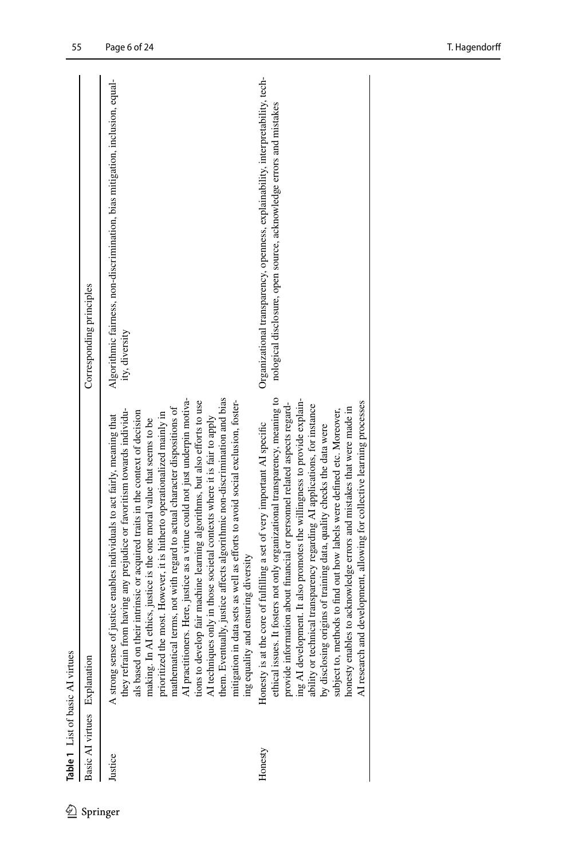| Basic AI virtues Explanation<br>Justice |                                                                                                                                                                                                                                                                                                                                                                                                                                                                                                                                                                                                                                                                                                                                                                                                                                                                       |                                                                                                                                                      |
|-----------------------------------------|-----------------------------------------------------------------------------------------------------------------------------------------------------------------------------------------------------------------------------------------------------------------------------------------------------------------------------------------------------------------------------------------------------------------------------------------------------------------------------------------------------------------------------------------------------------------------------------------------------------------------------------------------------------------------------------------------------------------------------------------------------------------------------------------------------------------------------------------------------------------------|------------------------------------------------------------------------------------------------------------------------------------------------------|
|                                         |                                                                                                                                                                                                                                                                                                                                                                                                                                                                                                                                                                                                                                                                                                                                                                                                                                                                       | Corresponding principles                                                                                                                             |
|                                         | AI practitioners. Here, justice as a virtue could not just underpin motiva-<br>AI techniques only in those societal contexts where it is fair to apply<br>them. Eventually, justice affects algorithmic non-discrimination and bias<br>mitigation in data sets as well as efforts to avoid social exclusion, foster<br>tions to develop fair machine learning algorithms, but also efforts to use<br>mathematical terms, not with regard to actual character dispositions of<br>they refrain from having any prejudice or favoritism towards individu-<br>als based on their intrinsic or acquired traits in the context of decision<br>prioritized the most. However, it is hitherto operationalized mainly in<br>A strong sense of justice enables individuals to act fairly, meaning that<br>making. In AI ethics, justice is the one moral value that seems to be | Algorithmic fairness, non-discrimination, bias mitigation, inclusion, equal-<br>ity, diversity                                                       |
| AI research<br>Honesty                  | ethical issues. It fosters not only organizational transparency, meaning to<br>ing AI development. It also promotes the willingness to provide explain-<br>and development, allowing for collective learning processes<br>provide information about financial or personnel related aspects regard-<br>ability or technical transparency regarding AI applications, for instance<br>honesty enables to acknowledge errors and mistakes that were made in<br>subject to, methods to find out how labels were defined etc. Moreover,<br>Honesty is at the core of fulfilling a set of very important AI specific<br>by disclosing origins of training data, quality checks the data were                                                                                                                                                                                 | Organizational transparency, openness, explainability, interpretability, tech-<br>nological disclosure, open source, acknowledge errors and mistakes |

<span id="page-5-0"></span> $\underline{\textcircled{\tiny 2}}$  Springer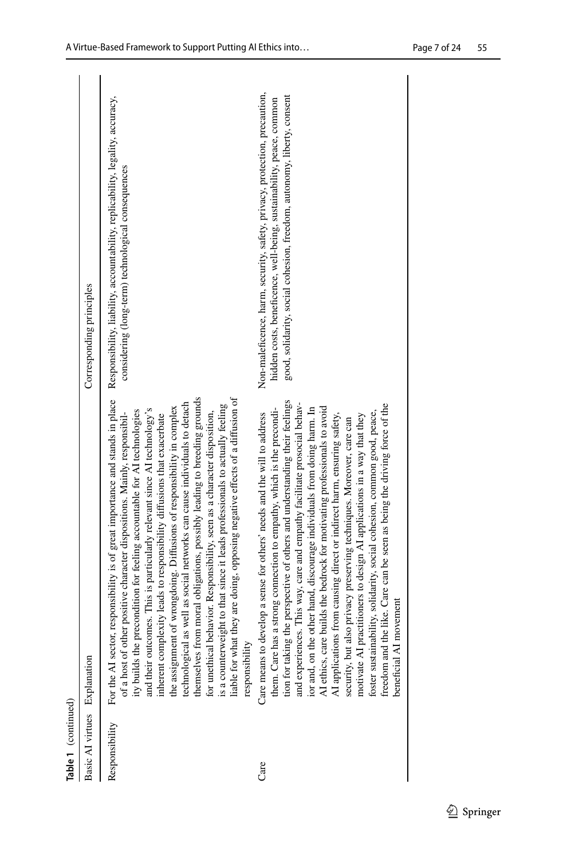| Table 1 (continued)          |                                                                                                                                                                                                                                                                                                                                                                                                                                                                                                                                                                                                                                                                                                                                                                                                                                                                                      |                                                                                                                                                                                                                             |
|------------------------------|--------------------------------------------------------------------------------------------------------------------------------------------------------------------------------------------------------------------------------------------------------------------------------------------------------------------------------------------------------------------------------------------------------------------------------------------------------------------------------------------------------------------------------------------------------------------------------------------------------------------------------------------------------------------------------------------------------------------------------------------------------------------------------------------------------------------------------------------------------------------------------------|-----------------------------------------------------------------------------------------------------------------------------------------------------------------------------------------------------------------------------|
| Basic AI virtues Explanation |                                                                                                                                                                                                                                                                                                                                                                                                                                                                                                                                                                                                                                                                                                                                                                                                                                                                                      | Corresponding principles                                                                                                                                                                                                    |
| Responsibility               | For the AI sector, responsibility is of great importance and stands in place<br>themselves from moral obligations, possibly leading to breeding grounds<br>liable for what they are doing, opposing negative effects of a diffusion of<br>technological as well as social networks can cause individuals to detach<br>is a counterweight to that since it leads professionals to actually feeling<br>the assignment of wrongdoing. Diffusions of responsibility in complex<br>and their outcomes. This is particularly relevant since AI technology's<br>of a host of other positive character dispositions. Mainly, responsibil-<br>ity builds the precondition for feeling accountable for AI technologies<br>for unethical behavior. Responsibility, seen as a character disposition,<br>inherent complexity leads to responsibility diffusions that exacerbate<br>responsibility | Responsibility, liability, accountability, replicability, legality, accuracy,<br>considering (long-term) technological consequences                                                                                         |
| Care                         | tion for taking the perspective of others and understanding their feelings<br>and experiences. This way, care and empathy facilitate prosocial behav-<br>id the like. Care can be seen as being the driving force of the<br>ior and, on the other hand, discourage individuals from doing harm. In<br>AI ethics, care builds the bedrock for motivating professionals to avoid<br>has a strong connection to empathy, which is the precondi-<br>foster sustainability, solidarity, social cohesion, common good, peace,<br>Care means to develop a sense for others' needs and the will to address<br>AI applications from causing direct or indirect harm, ensuring safety,<br>motivate AI practitioners to design AI applications in a way that they<br>security, but also privacy preserving techniques. Moreover, care can<br>beneficial AI movement<br>them. Care<br>freedom ar | Non-maleficence, harm, security, safety, privacy, protection, precaution,<br>good, solidarity, social cohesion, freedom, autonomy, liberty, consent<br>hidden costs, beneficence, well-being, sustainability, peace, common |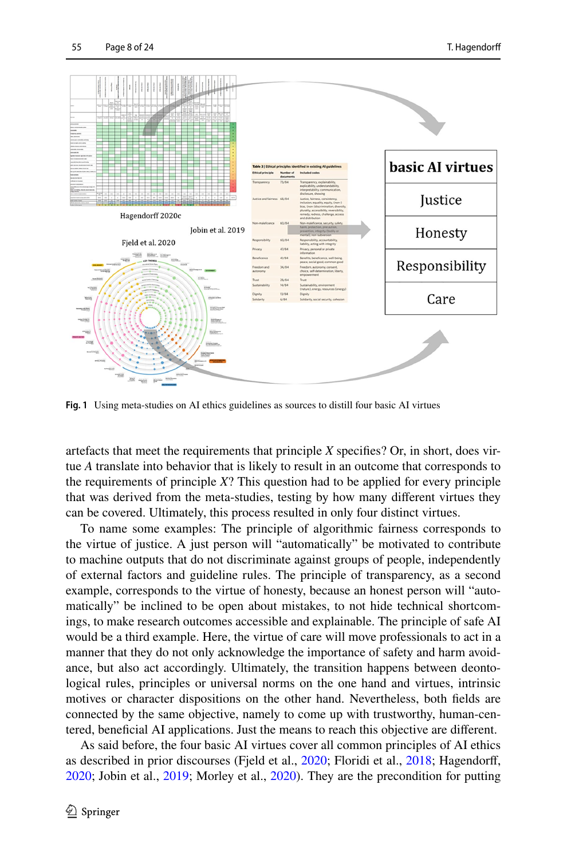

<span id="page-7-0"></span>**Fig. 1** Using meta-studies on AI ethics guidelines as sources to distill four basic AI virtues

artefacts that meet the requirements that principle *X* specifes? Or, in short, does virtue *A* translate into behavior that is likely to result in an outcome that corresponds to the requirements of principle *X*? This question had to be applied for every principle that was derived from the meta-studies, testing by how many diferent virtues they can be covered. Ultimately, this process resulted in only four distinct virtues.

To name some examples: The principle of algorithmic fairness corresponds to the virtue of justice. A just person will "automatically" be motivated to contribute to machine outputs that do not discriminate against groups of people, independently of external factors and guideline rules. The principle of transparency, as a second example, corresponds to the virtue of honesty, because an honest person will "automatically" be inclined to be open about mistakes, to not hide technical shortcomings, to make research outcomes accessible and explainable. The principle of safe AI would be a third example. Here, the virtue of care will move professionals to act in a manner that they do not only acknowledge the importance of safety and harm avoidance, but also act accordingly. Ultimately, the transition happens between deontological rules, principles or universal norms on the one hand and virtues, intrinsic motives or character dispositions on the other hand. Nevertheless, both felds are connected by the same objective, namely to come up with trustworthy, human-centered, benefcial AI applications. Just the means to reach this objective are diferent.

As said before, the four basic AI virtues cover all common principles of AI ethics as described in prior discourses (Fjeld et al., [2020;](#page-20-10) Floridi et al., [2018;](#page-20-5) Hagendorff, [2020](#page-21-0); Jobin et al., [2019;](#page-21-1) Morley et al., [2020\)](#page-22-1). They are the precondition for putting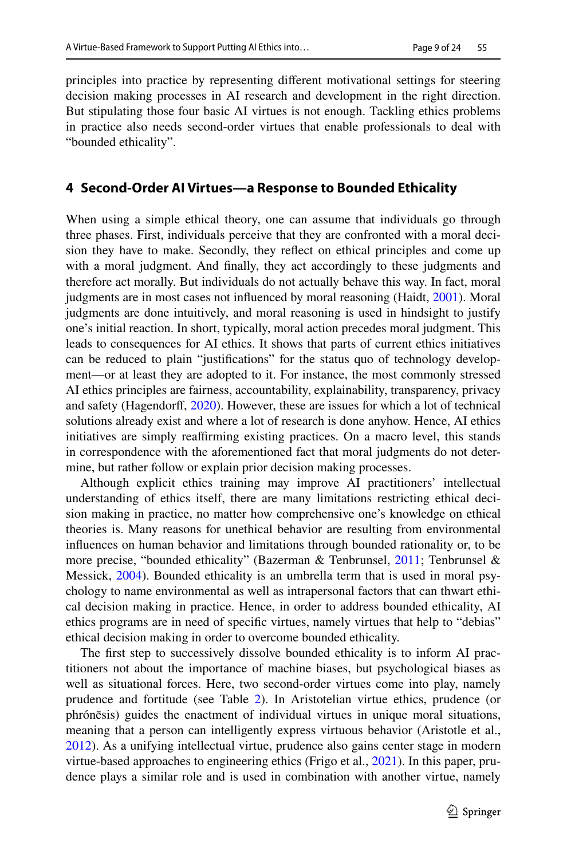principles into practice by representing diferent motivational settings for steering decision making processes in AI research and development in the right direction. But stipulating those four basic AI virtues is not enough. Tackling ethics problems in practice also needs second-order virtues that enable professionals to deal with "bounded ethicality".

# **4 Second‑Order AI Virtues—a Response to Bounded Ethicality**

When using a simple ethical theory, one can assume that individuals go through three phases. First, individuals perceive that they are confronted with a moral decision they have to make. Secondly, they refect on ethical principles and come up with a moral judgment. And fnally, they act accordingly to these judgments and therefore act morally. But individuals do not actually behave this way. In fact, moral judgments are in most cases not infuenced by moral reasoning (Haidt, [2001\)](#page-21-14). Moral judgments are done intuitively, and moral reasoning is used in hindsight to justify one's initial reaction. In short, typically, moral action precedes moral judgment. This leads to consequences for AI ethics. It shows that parts of current ethics initiatives can be reduced to plain "justifcations" for the status quo of technology development—or at least they are adopted to it. For instance, the most commonly stressed AI ethics principles are fairness, accountability, explainability, transparency, privacy and safety (Hagendorf, [2020\)](#page-21-0). However, these are issues for which a lot of technical solutions already exist and where a lot of research is done anyhow. Hence, AI ethics initiatives are simply reaffirming existing practices. On a macro level, this stands in correspondence with the aforementioned fact that moral judgments do not determine, but rather follow or explain prior decision making processes.

Although explicit ethics training may improve AI practitioners' intellectual understanding of ethics itself, there are many limitations restricting ethical decision making in practice, no matter how comprehensive one's knowledge on ethical theories is. Many reasons for unethical behavior are resulting from environmental infuences on human behavior and limitations through bounded rationality or, to be more precise, "bounded ethicality" (Bazerman & Tenbrunsel, [2011](#page-19-1); Tenbrunsel & Messick, [2004](#page-22-18)). Bounded ethicality is an umbrella term that is used in moral psychology to name environmental as well as intrapersonal factors that can thwart ethical decision making in practice. Hence, in order to address bounded ethicality, AI ethics programs are in need of specifc virtues, namely virtues that help to "debias" ethical decision making in order to overcome bounded ethicality.

The frst step to successively dissolve bounded ethicality is to inform AI practitioners not about the importance of machine biases, but psychological biases as well as situational forces. Here, two second-order virtues come into play, namely prudence and fortitude (see Table [2](#page-9-0)). In Aristotelian virtue ethics, prudence (or phrónēsis) guides the enactment of individual virtues in unique moral situations, meaning that a person can intelligently express virtuous behavior (Aristotle et al., [2012](#page-19-2)). As a unifying intellectual virtue, prudence also gains center stage in modern virtue-based approaches to engineering ethics (Frigo et al., [2021](#page-20-11)). In this paper, prudence plays a similar role and is used in combination with another virtue, namely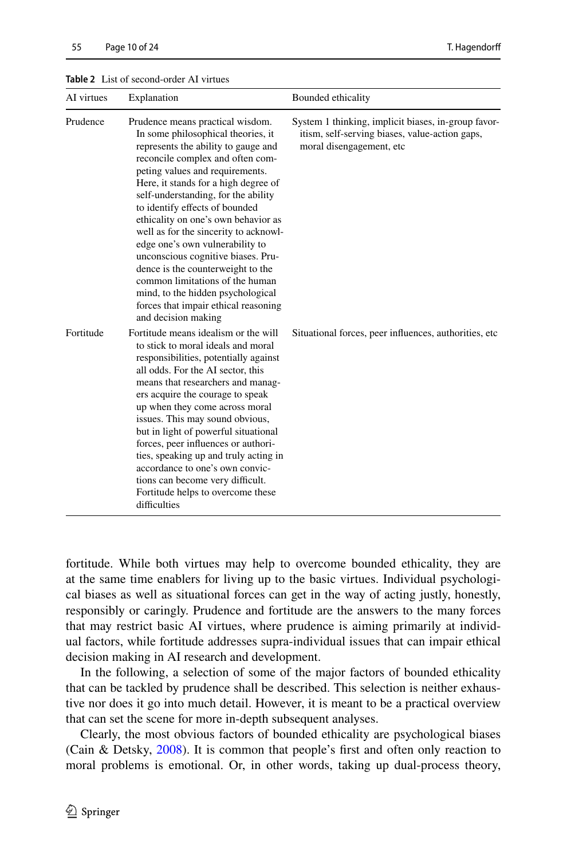| AI virtues | Explanation                                                                                                                                                                                                                                                                                                                                                                                                                                                                                                                                                                                                                                | Bounded ethicality                                                                                                                |
|------------|--------------------------------------------------------------------------------------------------------------------------------------------------------------------------------------------------------------------------------------------------------------------------------------------------------------------------------------------------------------------------------------------------------------------------------------------------------------------------------------------------------------------------------------------------------------------------------------------------------------------------------------------|-----------------------------------------------------------------------------------------------------------------------------------|
| Prudence   | Prudence means practical wisdom.<br>In some philosophical theories, it<br>represents the ability to gauge and<br>reconcile complex and often com-<br>peting values and requirements.<br>Here, it stands for a high degree of<br>self-understanding, for the ability<br>to identify effects of bounded<br>ethicality on one's own behavior as<br>well as for the sincerity to acknowl-<br>edge one's own vulnerability to<br>unconscious cognitive biases. Pru-<br>dence is the counterweight to the<br>common limitations of the human<br>mind, to the hidden psychological<br>forces that impair ethical reasoning<br>and decision making | System 1 thinking, implicit biases, in-group favor-<br>itism, self-serving biases, value-action gaps,<br>moral disengagement, etc |
| Fortitude  | Fortitude means idealism or the will<br>to stick to moral ideals and moral<br>responsibilities, potentially against<br>all odds. For the AI sector, this<br>means that researchers and manag-<br>ers acquire the courage to speak<br>up when they come across moral<br>issues. This may sound obvious,<br>but in light of powerful situational<br>forces, peer influences or authori-<br>ties, speaking up and truly acting in<br>accordance to one's own convic-<br>tions can become very difficult.<br>Fortitude helps to overcome these<br>difficulties                                                                                 | Situational forces, peer influences, authorities, etc.                                                                            |

#### <span id="page-9-0"></span>**Table 2** List of second-order AI virtues

fortitude. While both virtues may help to overcome bounded ethicality, they are at the same time enablers for living up to the basic virtues. Individual psychological biases as well as situational forces can get in the way of acting justly, honestly, responsibly or caringly. Prudence and fortitude are the answers to the many forces that may restrict basic AI virtues, where prudence is aiming primarily at individual factors, while fortitude addresses supra-individual issues that can impair ethical decision making in AI research and development.

In the following, a selection of some of the major factors of bounded ethicality that can be tackled by prudence shall be described. This selection is neither exhaustive nor does it go into much detail. However, it is meant to be a practical overview that can set the scene for more in-depth subsequent analyses.

Clearly, the most obvious factors of bounded ethicality are psychological biases (Cain & Detsky, [2008](#page-20-12)). It is common that people's frst and often only reaction to moral problems is emotional. Or, in other words, taking up dual-process theory,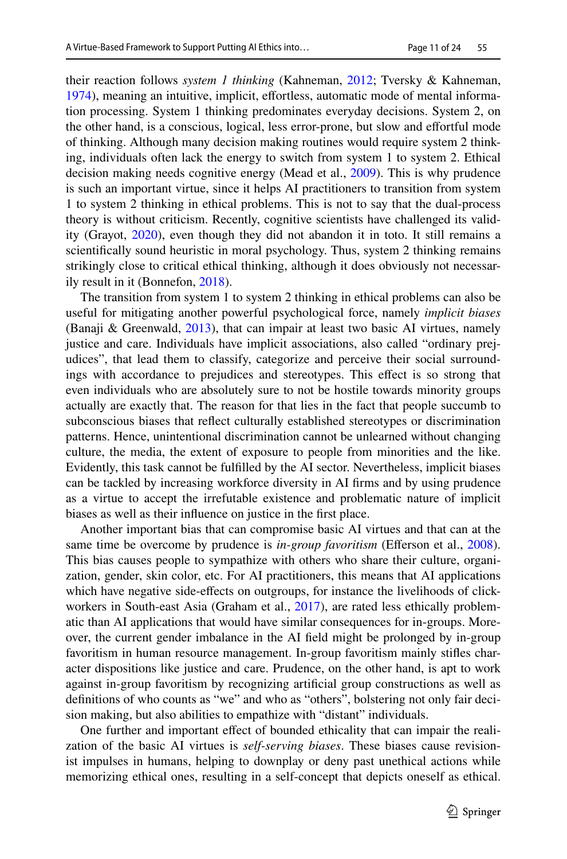their reaction follows *system 1 thinking* (Kahneman, [2012](#page-21-15); Tversky & Kahneman, [1974](#page-23-8)), meaning an intuitive, implicit, efortless, automatic mode of mental information processing. System 1 thinking predominates everyday decisions. System 2, on the other hand, is a conscious, logical, less error-prone, but slow and efortful mode of thinking. Although many decision making routines would require system 2 thinking, individuals often lack the energy to switch from system 1 to system 2. Ethical decision making needs cognitive energy (Mead et al., [2009\)](#page-22-19). This is why prudence is such an important virtue, since it helps AI practitioners to transition from system 1 to system 2 thinking in ethical problems. This is not to say that the dual-process theory is without criticism. Recently, cognitive scientists have challenged its validity (Grayot, [2020](#page-20-13)), even though they did not abandon it in toto. It still remains a scientifcally sound heuristic in moral psychology. Thus, system 2 thinking remains strikingly close to critical ethical thinking, although it does obviously not necessarily result in it (Bonnefon, [2018](#page-20-14)).

The transition from system 1 to system 2 thinking in ethical problems can also be useful for mitigating another powerful psychological force, namely *implicit biases* (Banaji & Greenwald,  $2013$ ), that can impair at least two basic AI virtues, namely justice and care. Individuals have implicit associations, also called "ordinary prejudices", that lead them to classify, categorize and perceive their social surroundings with accordance to prejudices and stereotypes. This efect is so strong that even individuals who are absolutely sure to not be hostile towards minority groups actually are exactly that. The reason for that lies in the fact that people succumb to subconscious biases that refect culturally established stereotypes or discrimination patterns. Hence, unintentional discrimination cannot be unlearned without changing culture, the media, the extent of exposure to people from minorities and the like. Evidently, this task cannot be fulflled by the AI sector. Nevertheless, implicit biases can be tackled by increasing workforce diversity in AI frms and by using prudence as a virtue to accept the irrefutable existence and problematic nature of implicit biases as well as their infuence on justice in the frst place.

Another important bias that can compromise basic AI virtues and that can at the same time be overcome by prudence is *in-group favoritism* (Efferson et al., [2008\)](#page-20-15). This bias causes people to sympathize with others who share their culture, organization, gender, skin color, etc. For AI practitioners, this means that AI applications which have negative side-efects on outgroups, for instance the livelihoods of click-workers in South-east Asia (Graham et al., [2017](#page-20-16)), are rated less ethically problematic than AI applications that would have similar consequences for in-groups. Moreover, the current gender imbalance in the AI feld might be prolonged by in-group favoritism in human resource management. In-group favoritism mainly stifes character dispositions like justice and care. Prudence, on the other hand, is apt to work against in-group favoritism by recognizing artifcial group constructions as well as defnitions of who counts as "we" and who as "others", bolstering not only fair decision making, but also abilities to empathize with "distant" individuals.

One further and important efect of bounded ethicality that can impair the realization of the basic AI virtues is *self-serving biases*. These biases cause revisionist impulses in humans, helping to downplay or deny past unethical actions while memorizing ethical ones, resulting in a self-concept that depicts oneself as ethical.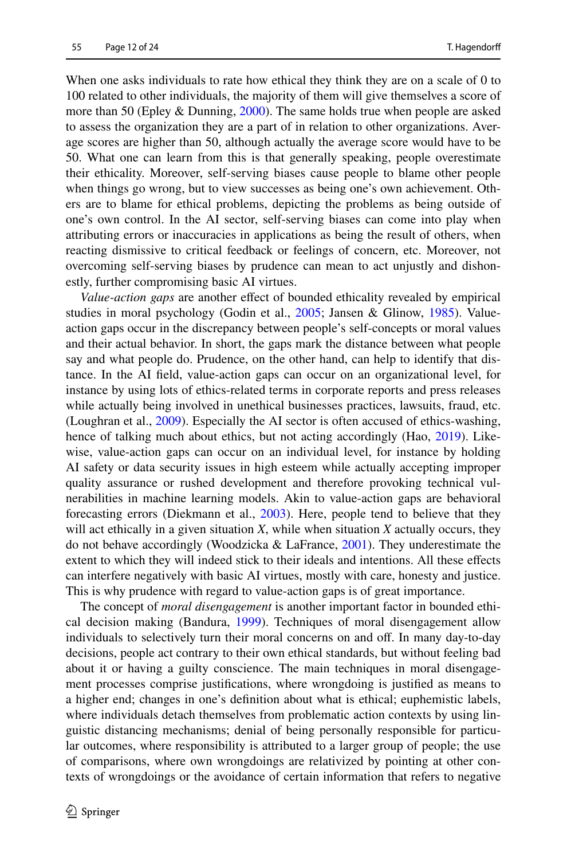When one asks individuals to rate how ethical they think they are on a scale of 0 to 100 related to other individuals, the majority of them will give themselves a score of more than 50 (Epley & Dunning,  $2000$ ). The same holds true when people are asked to assess the organization they are a part of in relation to other organizations. Average scores are higher than 50, although actually the average score would have to be 50. What one can learn from this is that generally speaking, people overestimate their ethicality. Moreover, self-serving biases cause people to blame other people when things go wrong, but to view successes as being one's own achievement. Others are to blame for ethical problems, depicting the problems as being outside of one's own control. In the AI sector, self-serving biases can come into play when attributing errors or inaccuracies in applications as being the result of others, when reacting dismissive to critical feedback or feelings of concern, etc. Moreover, not overcoming self-serving biases by prudence can mean to act unjustly and dishonestly, further compromising basic AI virtues.

*Value-action gaps* are another efect of bounded ethicality revealed by empirical studies in moral psychology (Godin et al., [2005;](#page-20-18) Jansen & Glinow, [1985](#page-21-16)). Valueaction gaps occur in the discrepancy between people's self-concepts or moral values and their actual behavior. In short, the gaps mark the distance between what people say and what people do. Prudence, on the other hand, can help to identify that distance. In the AI feld, value-action gaps can occur on an organizational level, for instance by using lots of ethics-related terms in corporate reports and press releases while actually being involved in unethical businesses practices, lawsuits, fraud, etc. (Loughran et al., [2009\)](#page-21-17). Especially the AI sector is often accused of ethics-washing, hence of talking much about ethics, but not acting accordingly (Hao, [2019\)](#page-21-18). Likewise, value-action gaps can occur on an individual level, for instance by holding AI safety or data security issues in high esteem while actually accepting improper quality assurance or rushed development and therefore provoking technical vulnerabilities in machine learning models. Akin to value-action gaps are behavioral forecasting errors (Diekmann et al., [2003\)](#page-20-19). Here, people tend to believe that they will act ethically in a given situation *X*, while when situation *X* actually occurs, they do not behave accordingly (Woodzicka & LaFrance, [2001](#page-23-9)). They underestimate the extent to which they will indeed stick to their ideals and intentions. All these efects can interfere negatively with basic AI virtues, mostly with care, honesty and justice. This is why prudence with regard to value-action gaps is of great importance.

The concept of *moral disengagement* is another important factor in bounded ethical decision making (Bandura, [1999\)](#page-19-4). Techniques of moral disengagement allow individuals to selectively turn their moral concerns on and off. In many day-to-day decisions, people act contrary to their own ethical standards, but without feeling bad about it or having a guilty conscience. The main techniques in moral disengagement processes comprise justifcations, where wrongdoing is justifed as means to a higher end; changes in one's defnition about what is ethical; euphemistic labels, where individuals detach themselves from problematic action contexts by using linguistic distancing mechanisms; denial of being personally responsible for particular outcomes, where responsibility is attributed to a larger group of people; the use of comparisons, where own wrongdoings are relativized by pointing at other contexts of wrongdoings or the avoidance of certain information that refers to negative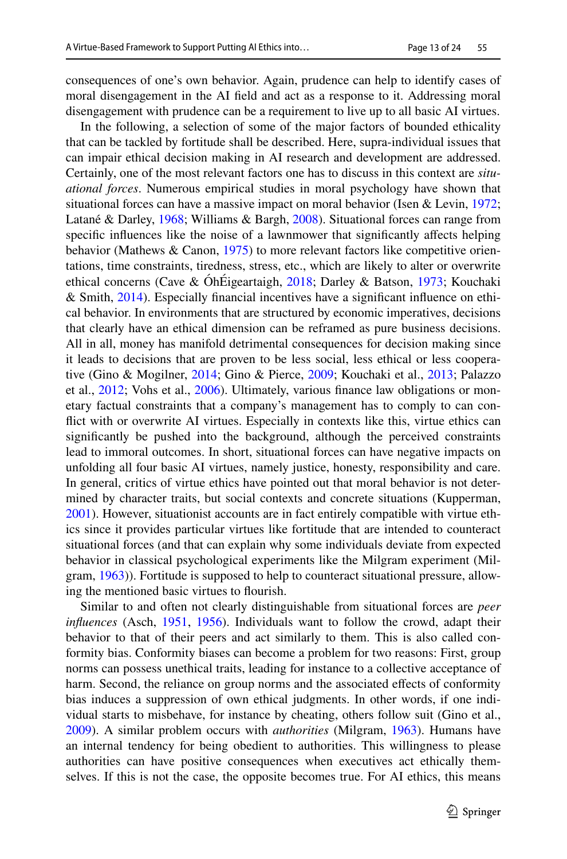consequences of one's own behavior. Again, prudence can help to identify cases of moral disengagement in the AI feld and act as a response to it. Addressing moral disengagement with prudence can be a requirement to live up to all basic AI virtues.

In the following, a selection of some of the major factors of bounded ethicality that can be tackled by fortitude shall be described. Here, supra-individual issues that can impair ethical decision making in AI research and development are addressed. Certainly, one of the most relevant factors one has to discuss in this context are *situational forces*. Numerous empirical studies in moral psychology have shown that situational forces can have a massive impact on moral behavior (Isen & Levin,  $1972$ ; Latané & Darley, [1968;](#page-21-20) Williams & Bargh, [2008\)](#page-23-10). Situational forces can range from specific influences like the noise of a lawnmower that significantly affects helping behavior (Mathews & Canon, [1975\)](#page-22-20) to more relevant factors like competitive orientations, time constraints, tiredness, stress, etc., which are likely to alter or overwrite ethical concerns (Cave & ÓhÉigeartaigh, [2018](#page-20-20); Darley & Batson, [1973;](#page-20-21) Kouchaki & Smith, [2014](#page-21-21)). Especially fnancial incentives have a signifcant infuence on ethical behavior. In environments that are structured by economic imperatives, decisions that clearly have an ethical dimension can be reframed as pure business decisions. All in all, money has manifold detrimental consequences for decision making since it leads to decisions that are proven to be less social, less ethical or less cooperative (Gino & Mogilner, [2014](#page-20-22); Gino & Pierce, [2009;](#page-20-23) Kouchaki et al., [2013;](#page-21-22) Palazzo et al., [2012](#page-22-21); Vohs et al., [2006\)](#page-23-11). Ultimately, various fnance law obligations or monetary factual constraints that a company's management has to comply to can confict with or overwrite AI virtues. Especially in contexts like this, virtue ethics can signifcantly be pushed into the background, although the perceived constraints lead to immoral outcomes. In short, situational forces can have negative impacts on unfolding all four basic AI virtues, namely justice, honesty, responsibility and care. In general, critics of virtue ethics have pointed out that moral behavior is not determined by character traits, but social contexts and concrete situations (Kupperman, [2001](#page-21-23)). However, situationist accounts are in fact entirely compatible with virtue ethics since it provides particular virtues like fortitude that are intended to counteract situational forces (and that can explain why some individuals deviate from expected behavior in classical psychological experiments like the Milgram experiment (Milgram, [1963\)](#page-22-22)). Fortitude is supposed to help to counteract situational pressure, allowing the mentioned basic virtues to fourish.

Similar to and often not clearly distinguishable from situational forces are *peer infuences* (Asch, [1951,](#page-19-5) [1956](#page-19-6)). Individuals want to follow the crowd, adapt their behavior to that of their peers and act similarly to them. This is also called conformity bias. Conformity biases can become a problem for two reasons: First, group norms can possess unethical traits, leading for instance to a collective acceptance of harm. Second, the reliance on group norms and the associated effects of conformity bias induces a suppression of own ethical judgments. In other words, if one individual starts to misbehave, for instance by cheating, others follow suit (Gino et al., [2009](#page-20-24)). A similar problem occurs with *authorities* (Milgram, [1963](#page-22-22)). Humans have an internal tendency for being obedient to authorities. This willingness to please authorities can have positive consequences when executives act ethically themselves. If this is not the case, the opposite becomes true. For AI ethics, this means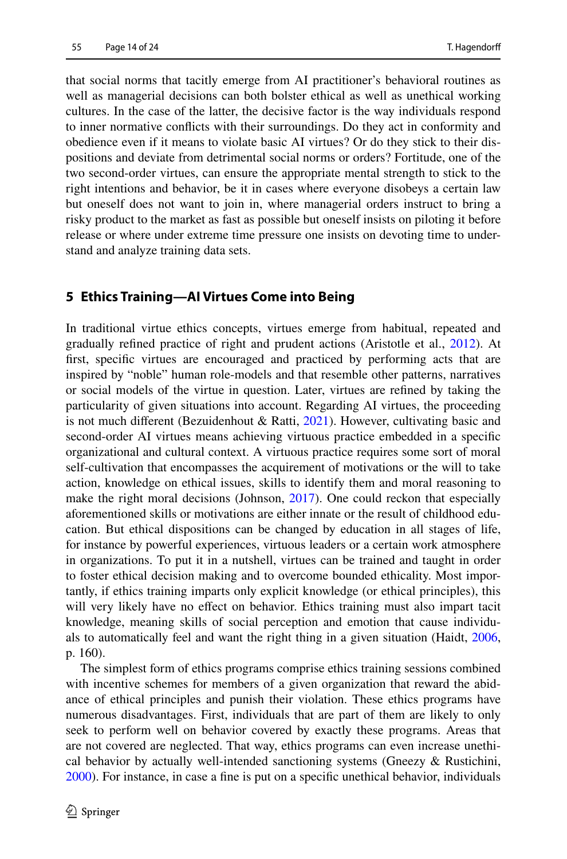that social norms that tacitly emerge from AI practitioner's behavioral routines as well as managerial decisions can both bolster ethical as well as unethical working cultures. In the case of the latter, the decisive factor is the way individuals respond to inner normative conficts with their surroundings. Do they act in conformity and obedience even if it means to violate basic AI virtues? Or do they stick to their dispositions and deviate from detrimental social norms or orders? Fortitude, one of the two second-order virtues, can ensure the appropriate mental strength to stick to the right intentions and behavior, be it in cases where everyone disobeys a certain law but oneself does not want to join in, where managerial orders instruct to bring a risky product to the market as fast as possible but oneself insists on piloting it before release or where under extreme time pressure one insists on devoting time to understand and analyze training data sets.

# **5 Ethics Training—AI Virtues Come into Being**

In traditional virtue ethics concepts, virtues emerge from habitual, repeated and gradually refned practice of right and prudent actions (Aristotle et al., [2012\)](#page-19-2). At frst, specifc virtues are encouraged and practiced by performing acts that are inspired by "noble" human role-models and that resemble other patterns, narratives or social models of the virtue in question. Later, virtues are refned by taking the particularity of given situations into account. Regarding AI virtues, the proceeding is not much different (Bezuidenhout  $\&$  Ratti, [2021](#page-19-7)). However, cultivating basic and second-order AI virtues means achieving virtuous practice embedded in a specifc organizational and cultural context. A virtuous practice requires some sort of moral self-cultivation that encompasses the acquirement of motivations or the will to take action, knowledge on ethical issues, skills to identify them and moral reasoning to make the right moral decisions (Johnson, [2017](#page-21-6)). One could reckon that especially aforementioned skills or motivations are either innate or the result of childhood education. But ethical dispositions can be changed by education in all stages of life, for instance by powerful experiences, virtuous leaders or a certain work atmosphere in organizations. To put it in a nutshell, virtues can be trained and taught in order to foster ethical decision making and to overcome bounded ethicality. Most importantly, if ethics training imparts only explicit knowledge (or ethical principles), this will very likely have no efect on behavior. Ethics training must also impart tacit knowledge, meaning skills of social perception and emotion that cause individuals to automatically feel and want the right thing in a given situation (Haidt, [2006,](#page-21-24) p. 160).

The simplest form of ethics programs comprise ethics training sessions combined with incentive schemes for members of a given organization that reward the abidance of ethical principles and punish their violation. These ethics programs have numerous disadvantages. First, individuals that are part of them are likely to only seek to perform well on behavior covered by exactly these programs. Areas that are not covered are neglected. That way, ethics programs can even increase unethical behavior by actually well-intended sanctioning systems (Gneezy  $\&$  Rustichini, [2000](#page-20-25)). For instance, in case a fne is put on a specifc unethical behavior, individuals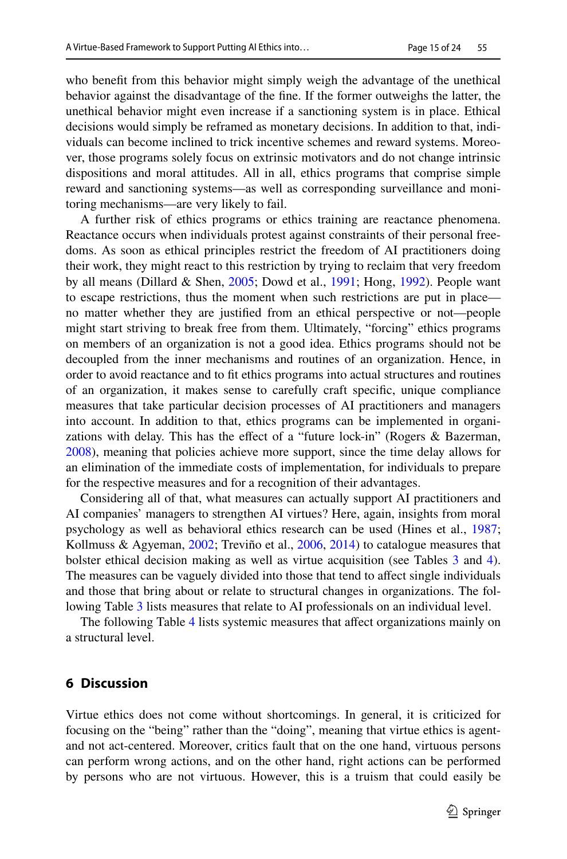who beneft from this behavior might simply weigh the advantage of the unethical behavior against the disadvantage of the fne. If the former outweighs the latter, the unethical behavior might even increase if a sanctioning system is in place. Ethical decisions would simply be reframed as monetary decisions. In addition to that, individuals can become inclined to trick incentive schemes and reward systems. Moreover, those programs solely focus on extrinsic motivators and do not change intrinsic dispositions and moral attitudes. All in all, ethics programs that comprise simple reward and sanctioning systems—as well as corresponding surveillance and monitoring mechanisms—are very likely to fail.

A further risk of ethics programs or ethics training are reactance phenomena. Reactance occurs when individuals protest against constraints of their personal freedoms. As soon as ethical principles restrict the freedom of AI practitioners doing their work, they might react to this restriction by trying to reclaim that very freedom by all means (Dillard & Shen, [2005](#page-20-26); Dowd et al., [1991](#page-20-27); Hong, [1992\)](#page-21-25). People want to escape restrictions, thus the moment when such restrictions are put in place no matter whether they are justifed from an ethical perspective or not—people might start striving to break free from them. Ultimately, "forcing" ethics programs on members of an organization is not a good idea. Ethics programs should not be decoupled from the inner mechanisms and routines of an organization. Hence, in order to avoid reactance and to ft ethics programs into actual structures and routines of an organization, it makes sense to carefully craft specifc, unique compliance measures that take particular decision processes of AI practitioners and managers into account. In addition to that, ethics programs can be implemented in organizations with delay. This has the efect of a "future lock-in" (Rogers & Bazerman, [2008](#page-22-23)), meaning that policies achieve more support, since the time delay allows for an elimination of the immediate costs of implementation, for individuals to prepare for the respective measures and for a recognition of their advantages.

Considering all of that, what measures can actually support AI practitioners and AI companies' managers to strengthen AI virtues? Here, again, insights from moral psychology as well as behavioral ethics research can be used (Hines et al., [1987;](#page-21-26) Kollmuss & Agyeman, [2002](#page-21-27); Treviño et al., [2006](#page-23-12), [2014\)](#page-22-24) to catalogue measures that bolster ethical decision making as well as virtue acquisition (see Tables [3](#page-15-0) and [4\)](#page-16-0). The measures can be vaguely divided into those that tend to affect single individuals and those that bring about or relate to structural changes in organizations. The following Table [3](#page-15-0) lists measures that relate to AI professionals on an individual level.

The following Table [4](#page-16-0) lists systemic measures that afect organizations mainly on a structural level.

# **6 Discussion**

Virtue ethics does not come without shortcomings. In general, it is criticized for focusing on the "being" rather than the "doing", meaning that virtue ethics is agentand not act-centered. Moreover, critics fault that on the one hand, virtuous persons can perform wrong actions, and on the other hand, right actions can be performed by persons who are not virtuous. However, this is a truism that could easily be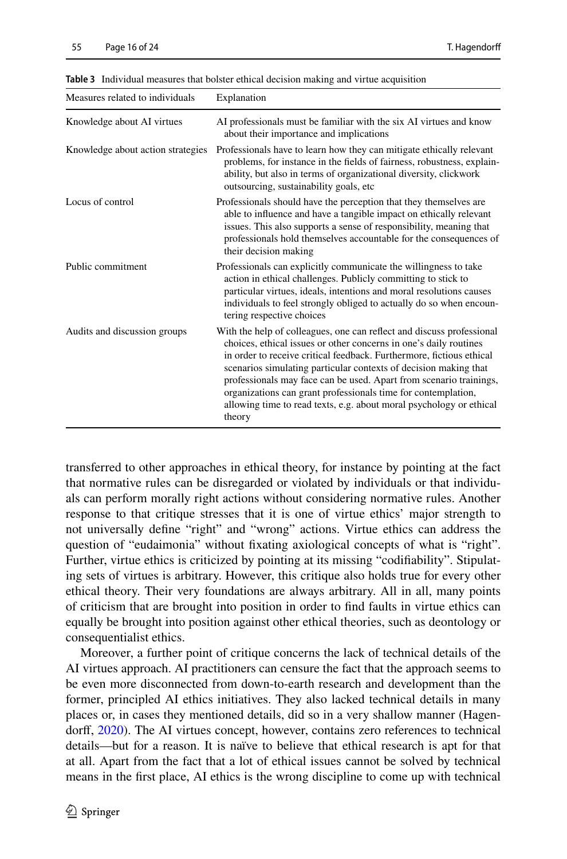| Measures related to individuals   | Explanation                                                                                                                                                                                                                                                                                                                                                                                                                                                                                                    |
|-----------------------------------|----------------------------------------------------------------------------------------------------------------------------------------------------------------------------------------------------------------------------------------------------------------------------------------------------------------------------------------------------------------------------------------------------------------------------------------------------------------------------------------------------------------|
| Knowledge about AI virtues        | AI professionals must be familiar with the six AI virtues and know<br>about their importance and implications                                                                                                                                                                                                                                                                                                                                                                                                  |
| Knowledge about action strategies | Professionals have to learn how they can mitigate ethically relevant<br>problems, for instance in the fields of fairness, robustness, explain-<br>ability, but also in terms of organizational diversity, clickwork<br>outsourcing, sustainability goals, etc.                                                                                                                                                                                                                                                 |
| Locus of control                  | Professionals should have the perception that they themselves are<br>able to influence and have a tangible impact on ethically relevant<br>issues. This also supports a sense of responsibility, meaning that<br>professionals hold themselves accountable for the consequences of<br>their decision making                                                                                                                                                                                                    |
| Public commitment                 | Professionals can explicitly communicate the willingness to take<br>action in ethical challenges. Publicly committing to stick to<br>particular virtues, ideals, intentions and moral resolutions causes<br>individuals to feel strongly obliged to actually do so when encoun-<br>tering respective choices                                                                                                                                                                                                   |
| Audits and discussion groups      | With the help of colleagues, one can reflect and discuss professional<br>choices, ethical issues or other concerns in one's daily routines<br>in order to receive critical feedback. Furthermore, fictious ethical<br>scenarios simulating particular contexts of decision making that<br>professionals may face can be used. Apart from scenario trainings,<br>organizations can grant professionals time for contemplation,<br>allowing time to read texts, e.g. about moral psychology or ethical<br>theory |

<span id="page-15-0"></span>**Table 3** Individual measures that bolster ethical decision making and virtue acquisition

transferred to other approaches in ethical theory, for instance by pointing at the fact that normative rules can be disregarded or violated by individuals or that individuals can perform morally right actions without considering normative rules. Another response to that critique stresses that it is one of virtue ethics' major strength to not universally defne "right" and "wrong" actions. Virtue ethics can address the question of "eudaimonia" without fxating axiological concepts of what is "right". Further, virtue ethics is criticized by pointing at its missing "codifability". Stipulating sets of virtues is arbitrary. However, this critique also holds true for every other ethical theory. Their very foundations are always arbitrary. All in all, many points of criticism that are brought into position in order to fnd faults in virtue ethics can equally be brought into position against other ethical theories, such as deontology or consequentialist ethics.

Moreover, a further point of critique concerns the lack of technical details of the AI virtues approach. AI practitioners can censure the fact that the approach seems to be even more disconnected from down-to-earth research and development than the former, principled AI ethics initiatives. They also lacked technical details in many places or, in cases they mentioned details, did so in a very shallow manner (Hagen-dorff, [2020\)](#page-21-0). The AI virtues concept, however, contains zero references to technical details—but for a reason. It is naïve to believe that ethical research is apt for that at all. Apart from the fact that a lot of ethical issues cannot be solved by technical means in the frst place, AI ethics is the wrong discipline to come up with technical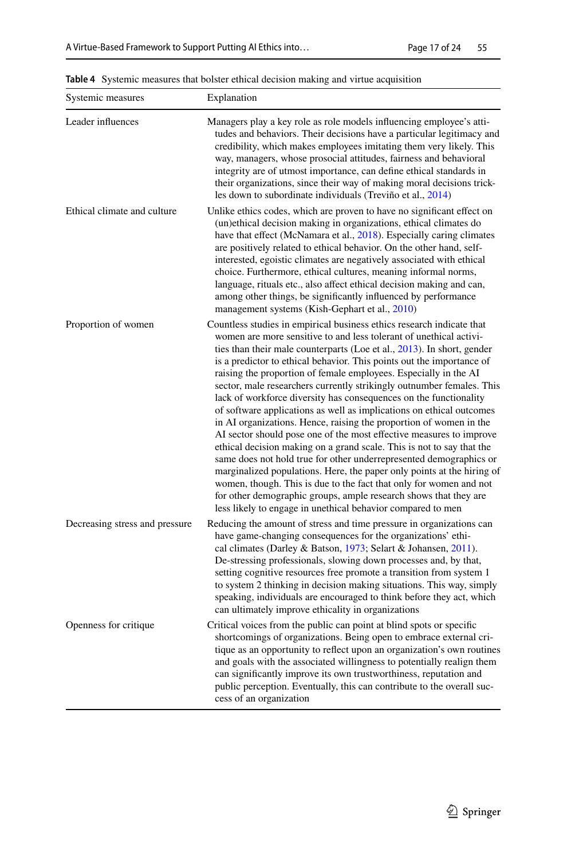| Systemic measures              | Explanation                                                                                                                                                                                                                                                                                                                                                                                                                                                                                                                                                                                                                                                                                                                                                                                                                                                                                                                                                                                                                                                                                                                                                             |
|--------------------------------|-------------------------------------------------------------------------------------------------------------------------------------------------------------------------------------------------------------------------------------------------------------------------------------------------------------------------------------------------------------------------------------------------------------------------------------------------------------------------------------------------------------------------------------------------------------------------------------------------------------------------------------------------------------------------------------------------------------------------------------------------------------------------------------------------------------------------------------------------------------------------------------------------------------------------------------------------------------------------------------------------------------------------------------------------------------------------------------------------------------------------------------------------------------------------|
| Leader influences              | Managers play a key role as role models influencing employee's atti-<br>tudes and behaviors. Their decisions have a particular legitimacy and<br>credibility, which makes employees imitating them very likely. This<br>way, managers, whose prosocial attitudes, fairness and behavioral<br>integrity are of utmost importance, can define ethical standards in<br>their organizations, since their way of making moral decisions trick-<br>les down to subordinate individuals (Treviño et al., 2014)                                                                                                                                                                                                                                                                                                                                                                                                                                                                                                                                                                                                                                                                 |
| Ethical climate and culture    | Unlike ethics codes, which are proven to have no significant effect on<br>(un)ethical decision making in organizations, ethical climates do<br>have that effect (McNamara et al., 2018). Especially caring climates<br>are positively related to ethical behavior. On the other hand, self-<br>interested, egoistic climates are negatively associated with ethical<br>choice. Furthermore, ethical cultures, meaning informal norms,<br>language, rituals etc., also affect ethical decision making and can,<br>among other things, be significantly influenced by performance<br>management systems (Kish-Gephart et al., 2010)                                                                                                                                                                                                                                                                                                                                                                                                                                                                                                                                       |
| Proportion of women            | Countless studies in empirical business ethics research indicate that<br>women are more sensitive to and less tolerant of unethical activi-<br>ties than their male counterparts (Loe et al., 2013). In short, gender<br>is a predictor to ethical behavior. This points out the importance of<br>raising the proportion of female employees. Especially in the AI<br>sector, male researchers currently strikingly outnumber females. This<br>lack of workforce diversity has consequences on the functionality<br>of software applications as well as implications on ethical outcomes<br>in AI organizations. Hence, raising the proportion of women in the<br>AI sector should pose one of the most effective measures to improve<br>ethical decision making on a grand scale. This is not to say that the<br>same does not hold true for other underrepresented demographics or<br>marginalized populations. Here, the paper only points at the hiring of<br>women, though. This is due to the fact that only for women and not<br>for other demographic groups, ample research shows that they are<br>less likely to engage in unethical behavior compared to men |
| Decreasing stress and pressure | Reducing the amount of stress and time pressure in organizations can<br>have game-changing consequences for the organizations' ethi-<br>cal climates (Darley & Batson, 1973; Selart & Johansen, 2011).<br>De-stressing professionals, slowing down processes and, by that,<br>setting cognitive resources free promote a transition from system 1<br>to system 2 thinking in decision making situations. This way, simply<br>speaking, individuals are encouraged to think before they act, which<br>can ultimately improve ethicality in organizations                                                                                                                                                                                                                                                                                                                                                                                                                                                                                                                                                                                                                 |
| Openness for critique          | Critical voices from the public can point at blind spots or specific<br>shortcomings of organizations. Being open to embrace external cri-<br>tique as an opportunity to reflect upon an organization's own routines<br>and goals with the associated willingness to potentially realign them<br>can significantly improve its own trustworthiness, reputation and<br>public perception. Eventually, this can contribute to the overall suc-<br>cess of an organization                                                                                                                                                                                                                                                                                                                                                                                                                                                                                                                                                                                                                                                                                                 |

<span id="page-16-0"></span>**Table 4** Systemic measures that bolster ethical decision making and virtue acquisition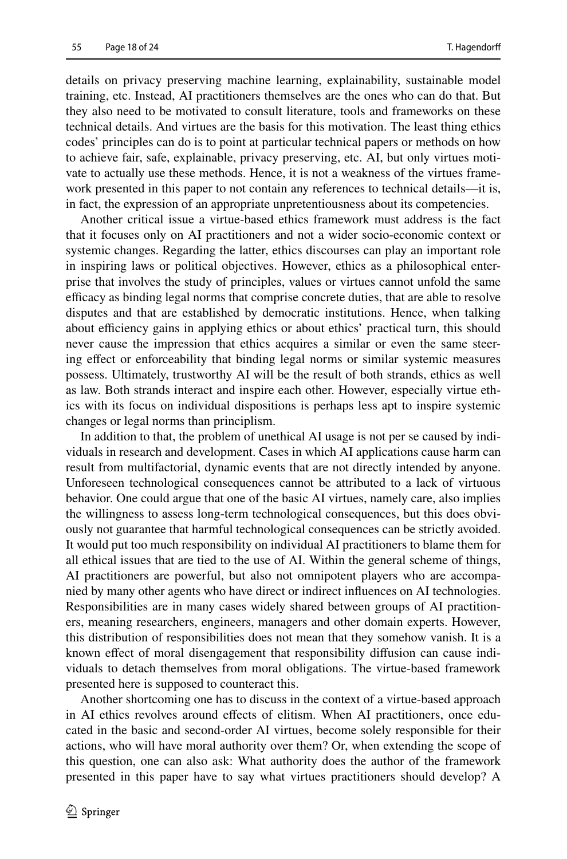details on privacy preserving machine learning, explainability, sustainable model training, etc. Instead, AI practitioners themselves are the ones who can do that. But they also need to be motivated to consult literature, tools and frameworks on these technical details. And virtues are the basis for this motivation. The least thing ethics codes' principles can do is to point at particular technical papers or methods on how to achieve fair, safe, explainable, privacy preserving, etc. AI, but only virtues motivate to actually use these methods. Hence, it is not a weakness of the virtues framework presented in this paper to not contain any references to technical details—it is, in fact, the expression of an appropriate unpretentiousness about its competencies.

Another critical issue a virtue-based ethics framework must address is the fact that it focuses only on AI practitioners and not a wider socio-economic context or systemic changes. Regarding the latter, ethics discourses can play an important role in inspiring laws or political objectives. However, ethics as a philosophical enterprise that involves the study of principles, values or virtues cannot unfold the same efficacy as binding legal norms that comprise concrete duties, that are able to resolve disputes and that are established by democratic institutions. Hence, when talking about efficiency gains in applying ethics or about ethics' practical turn, this should never cause the impression that ethics acquires a similar or even the same steering efect or enforceability that binding legal norms or similar systemic measures possess. Ultimately, trustworthy AI will be the result of both strands, ethics as well as law. Both strands interact and inspire each other. However, especially virtue ethics with its focus on individual dispositions is perhaps less apt to inspire systemic changes or legal norms than principlism.

In addition to that, the problem of unethical AI usage is not per se caused by individuals in research and development. Cases in which AI applications cause harm can result from multifactorial, dynamic events that are not directly intended by anyone. Unforeseen technological consequences cannot be attributed to a lack of virtuous behavior. One could argue that one of the basic AI virtues, namely care, also implies the willingness to assess long-term technological consequences, but this does obviously not guarantee that harmful technological consequences can be strictly avoided. It would put too much responsibility on individual AI practitioners to blame them for all ethical issues that are tied to the use of AI. Within the general scheme of things, AI practitioners are powerful, but also not omnipotent players who are accompanied by many other agents who have direct or indirect infuences on AI technologies. Responsibilities are in many cases widely shared between groups of AI practitioners, meaning researchers, engineers, managers and other domain experts. However, this distribution of responsibilities does not mean that they somehow vanish. It is a known efect of moral disengagement that responsibility difusion can cause individuals to detach themselves from moral obligations. The virtue-based framework presented here is supposed to counteract this.

Another shortcoming one has to discuss in the context of a virtue-based approach in AI ethics revolves around efects of elitism. When AI practitioners, once educated in the basic and second-order AI virtues, become solely responsible for their actions, who will have moral authority over them? Or, when extending the scope of this question, one can also ask: What authority does the author of the framework presented in this paper have to say what virtues practitioners should develop? A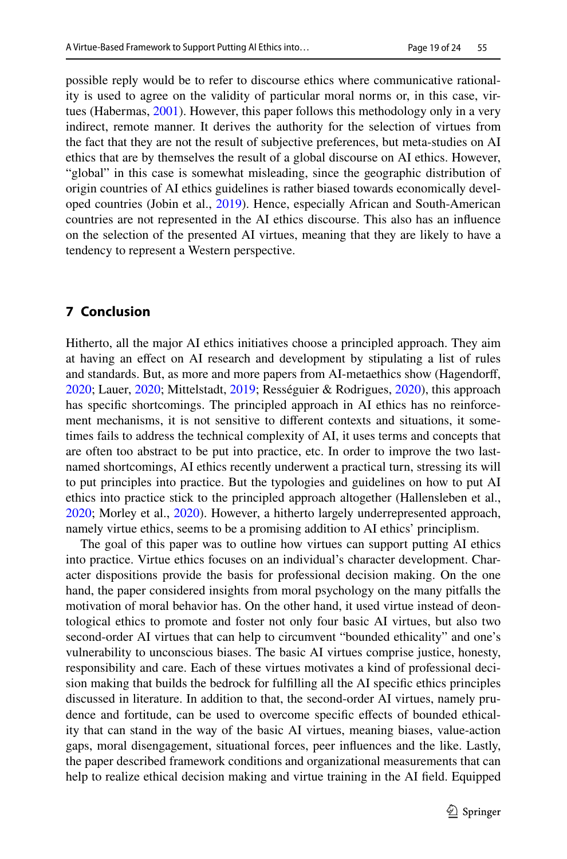possible reply would be to refer to discourse ethics where communicative rationality is used to agree on the validity of particular moral norms or, in this case, virtues (Habermas, [2001\)](#page-21-29). However, this paper follows this methodology only in a very indirect, remote manner. It derives the authority for the selection of virtues from the fact that they are not the result of subjective preferences, but meta-studies on AI ethics that are by themselves the result of a global discourse on AI ethics. However, "global" in this case is somewhat misleading, since the geographic distribution of origin countries of AI ethics guidelines is rather biased towards economically developed countries (Jobin et al., [2019](#page-21-1)). Hence, especially African and South-American countries are not represented in the AI ethics discourse. This also has an infuence on the selection of the presented AI virtues, meaning that they are likely to have a tendency to represent a Western perspective.

# **7 Conclusion**

Hitherto, all the major AI ethics initiatives choose a principled approach. They aim at having an efect on AI research and development by stipulating a list of rules and standards. But, as more and more papers from AI-metaethics show (Hagendorf, [2020](#page-21-0); Lauer, [2020;](#page-21-3) Mittelstadt, [2019](#page-22-0); Rességuier & Rodrigues, [2020](#page-22-3)), this approach has specifc shortcomings. The principled approach in AI ethics has no reinforcement mechanisms, it is not sensitive to diferent contexts and situations, it sometimes fails to address the technical complexity of AI, it uses terms and concepts that are often too abstract to be put into practice, etc. In order to improve the two lastnamed shortcomings, AI ethics recently underwent a practical turn, stressing its will to put principles into practice. But the typologies and guidelines on how to put AI ethics into practice stick to the principled approach altogether (Hallensleben et al., [2020](#page-21-4); Morley et al., [2020\)](#page-22-1). However, a hitherto largely underrepresented approach, namely virtue ethics, seems to be a promising addition to AI ethics' principlism.

The goal of this paper was to outline how virtues can support putting AI ethics into practice. Virtue ethics focuses on an individual's character development. Character dispositions provide the basis for professional decision making. On the one hand, the paper considered insights from moral psychology on the many pitfalls the motivation of moral behavior has. On the other hand, it used virtue instead of deontological ethics to promote and foster not only four basic AI virtues, but also two second-order AI virtues that can help to circumvent "bounded ethicality" and one's vulnerability to unconscious biases. The basic AI virtues comprise justice, honesty, responsibility and care. Each of these virtues motivates a kind of professional decision making that builds the bedrock for fulflling all the AI specifc ethics principles discussed in literature. In addition to that, the second-order AI virtues, namely prudence and fortitude, can be used to overcome specifc efects of bounded ethicality that can stand in the way of the basic AI virtues, meaning biases, value-action gaps, moral disengagement, situational forces, peer infuences and the like. Lastly, the paper described framework conditions and organizational measurements that can help to realize ethical decision making and virtue training in the AI feld. Equipped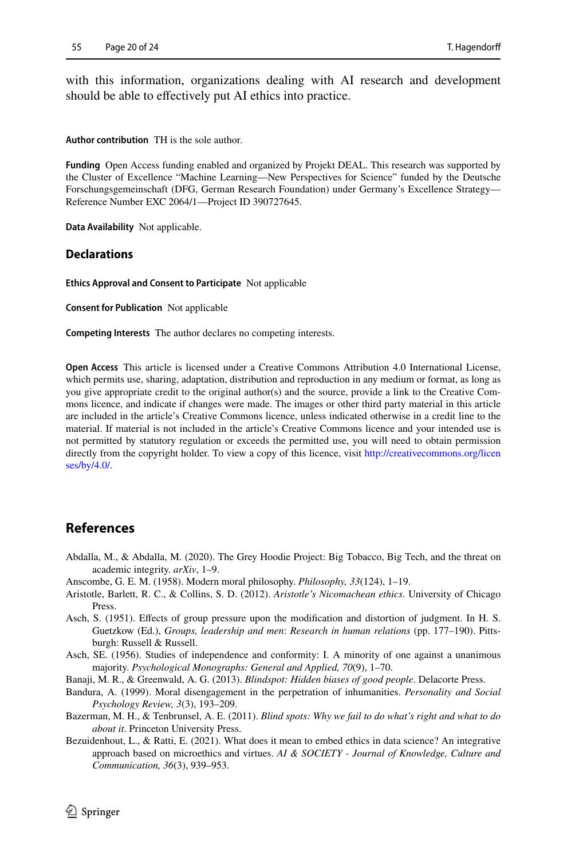with this information, organizations dealing with AI research and development should be able to efectively put AI ethics into practice.

**Author contribution** TH is the sole author.

**Funding** Open Access funding enabled and organized by Projekt DEAL. This research was supported by the Cluster of Excellence "Machine Learning—New Perspectives for Science" funded by the Deutsche Forschungsgemeinschaft (DFG, German Research Foundation) under Germany's Excellence Strategy— Reference Number EXC 2064/1—Project ID 390727645.

**Data Availability** Not applicable.

#### **Declarations**

**Ethics Approval and Consent to Participate** Not applicable

**Consent for Publication** Not applicable

**Competing Interests** The author declares no competing interests.

**Open Access** This article is licensed under a Creative Commons Attribution 4.0 International License, which permits use, sharing, adaptation, distribution and reproduction in any medium or format, as long as you give appropriate credit to the original author(s) and the source, provide a link to the Creative Commons licence, and indicate if changes were made. The images or other third party material in this article are included in the article's Creative Commons licence, unless indicated otherwise in a credit line to the material. If material is not included in the article's Creative Commons licence and your intended use is not permitted by statutory regulation or exceeds the permitted use, you will need to obtain permission directly from the copyright holder. To view a copy of this licence, visit [http://creativecommons.org/licen](http://creativecommons.org/licenses/by/4.0/) [ses/by/4.0/](http://creativecommons.org/licenses/by/4.0/).

# **References**

- <span id="page-19-0"></span>Abdalla, M., & Abdalla, M. (2020). The Grey Hoodie Project: Big Tobacco, Big Tech, and the threat on academic integrity. *arXiv*, 1–9.
- Anscombe, G. E. M. (1958). Modern moral philosophy. *Philosophy, 33*(124), 1–19.
- <span id="page-19-2"></span>Aristotle, Barlett, R. C., & Collins, S. D. (2012). *Aristotle's Nicomachean ethics*. University of Chicago Press.
- <span id="page-19-5"></span>Asch, S. (1951). Efects of group pressure upon the modifcation and distortion of judgment. In H. S. Guetzkow (Ed.), *Groups, leadership and men*: *Research in human relations* (pp. 177–190). Pittsburgh: Russell & Russell.
- <span id="page-19-6"></span>Asch, SE. (1956). Studies of independence and conformity: I. A minority of one against a unanimous majority. *Psychological Monographs: General and Applied, 70*(9), 1–70.
- <span id="page-19-3"></span>Banaji, M. R., & Greenwald, A. G. (2013). *Blindspot: Hidden biases of good people*. Delacorte Press.
- <span id="page-19-4"></span>Bandura, A. (1999). Moral disengagement in the perpetration of inhumanities. *Personality and Social Psychology Review, 3*(3), 193–209.
- <span id="page-19-1"></span>Bazerman, M. H., & Tenbrunsel, A. E. (2011). *Blind spots: Why we fail to do what's right and what to do about it*. Princeton University Press.
- <span id="page-19-7"></span>Bezuidenhout, L., & Ratti, E. (2021). What does it mean to embed ethics in data science? An integrative approach based on microethics and virtues. *AI & SOCIETY - Journal of Knowledge, Culture and Communication, 36*(3), 939–953.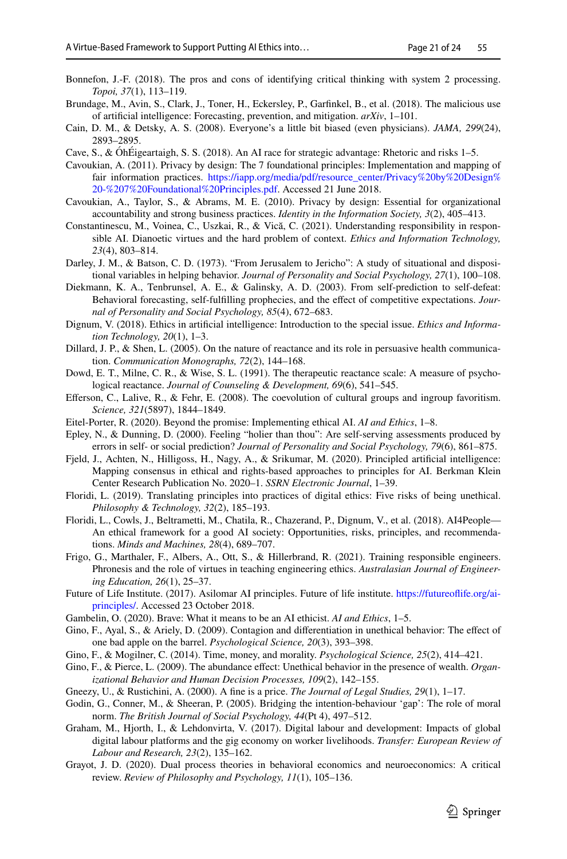- <span id="page-20-14"></span>Bonnefon, J.-F. (2018). The pros and cons of identifying critical thinking with system 2 processing. *Topoi, 37*(1), 113–119.
- <span id="page-20-7"></span>Brundage, M., Avin, S., Clark, J., Toner, H., Eckersley, P., Garfnkel, B., et al. (2018). The malicious use of artifcial intelligence: Forecasting, prevention, and mitigation. *arXiv*, 1–101.
- <span id="page-20-12"></span>Cain, D. M., & Detsky, A. S. (2008). Everyone's a little bit biased (even physicians). *JAMA, 299*(24), 2893–2895.
- <span id="page-20-20"></span>Cave, S., & ÓhÉigeartaigh, S. S. (2018). An AI race for strategic advantage: Rhetoric and risks 1–5.
- <span id="page-20-2"></span>Cavoukian, A. (2011). Privacy by design: The 7 foundational principles: Implementation and mapping of fair information practices. [https://iapp.org/media/pdf/resource\\_center/Privacy%20by%20Design%](https://iapp.org/media/pdf/resource_center/Privacy%20by%20Design%20-%207%20Foundational%20Principles.pdf) [20-%207%20Foundational%20Principles.pdf](https://iapp.org/media/pdf/resource_center/Privacy%20by%20Design%20-%207%20Foundational%20Principles.pdf). Accessed 21 June 2018.
- <span id="page-20-3"></span>Cavoukian, A., Taylor, S., & Abrams, M. E. (2010). Privacy by design: Essential for organizational accountability and strong business practices. *Identity in the Information Society, 3*(2), 405–413.
- <span id="page-20-9"></span>Constantinescu, M., Voinea, C., Uszkai, R., & Vică, C. (2021). Understanding responsibility in responsible AI. Dianoetic virtues and the hard problem of context. *Ethics and Information Technology, 23*(4), 803–814.
- <span id="page-20-21"></span>Darley, J. M., & Batson, C. D. (1973). "From Jerusalem to Jericho": A study of situational and dispositional variables in helping behavior. *Journal of Personality and Social Psychology, 27*(1), 100–108.
- <span id="page-20-19"></span>Diekmann, K. A., Tenbrunsel, A. E., & Galinsky, A. D. (2003). From self-prediction to self-defeat: Behavioral forecasting, self-fulflling prophecies, and the efect of competitive expectations. *Journal of Personality and Social Psychology, 85*(4), 672–683.
- <span id="page-20-4"></span>Dignum, V. (2018). Ethics in artifcial intelligence: Introduction to the special issue. *Ethics and Information Technology, 20*(1), 1–3.
- <span id="page-20-26"></span>Dillard, J. P., & Shen, L. (2005). On the nature of reactance and its role in persuasive health communication. *Communication Monographs, 72*(2), 144–168.
- <span id="page-20-27"></span>Dowd, E. T., Milne, C. R., & Wise, S. L. (1991). The therapeutic reactance scale: A measure of psychological reactance. *Journal of Counseling & Development, 69*(6), 541–545.
- <span id="page-20-15"></span>Eferson, C., Lalive, R., & Fehr, E. (2008). The coevolution of cultural groups and ingroup favoritism. *Science, 321*(5897), 1844–1849.
- <span id="page-20-0"></span>Eitel-Porter, R. (2020). Beyond the promise: Implementing ethical AI. *AI and Ethics*, 1–8.
- <span id="page-20-17"></span>Epley, N., & Dunning, D. (2000). Feeling "holier than thou": Are self-serving assessments produced by errors in self- or social prediction? *Journal of Personality and Social Psychology, 79*(6), 861–875.
- <span id="page-20-10"></span>Fjeld, J., Achten, N., Hilligoss, H., Nagy, A., & Srikumar, M. (2020). Principled artifcial intelligence: Mapping consensus in ethical and rights-based approaches to principles for AI. Berkman Klein Center Research Publication No. 2020–1. *SSRN Electronic Journal*, 1–39.
- <span id="page-20-1"></span>Floridi, L. (2019). Translating principles into practices of digital ethics: Five risks of being unethical. *Philosophy & Technology, 32*(2), 185–193.
- <span id="page-20-5"></span>Floridi, L., Cowls, J., Beltrametti, M., Chatila, R., Chazerand, P., Dignum, V., et al. (2018). AI4People— An ethical framework for a good AI society: Opportunities, risks, principles, and recommendations. *Minds and Machines, 28*(4), 689–707.
- <span id="page-20-11"></span>Frigo, G., Marthaler, F., Albers, A., Ott, S., & Hillerbrand, R. (2021). Training responsible engineers. Phronesis and the role of virtues in teaching engineering ethics. *Australasian Journal of Engineering Education, 26*(1), 25–37.
- <span id="page-20-6"></span>Future of Life Institute. (2017). Asilomar AI principles. Future of life institute. [https://futureofife.org/ai](https://futureoflife.org/ai-principles/)[principles/](https://futureoflife.org/ai-principles/). Accessed 23 October 2018.
- <span id="page-20-8"></span>Gambelin, O. (2020). Brave: What it means to be an AI ethicist. *AI and Ethics*, 1–5.
- <span id="page-20-24"></span>Gino, F., Ayal, S., & Ariely, D. (2009). Contagion and differentiation in unethical behavior: The effect of one bad apple on the barrel. *Psychological Science, 20*(3), 393–398.
- <span id="page-20-22"></span>Gino, F., & Mogilner, C. (2014). Time, money, and morality. *Psychological Science, 25*(2), 414–421.
- <span id="page-20-23"></span>Gino, F., & Pierce, L. (2009). The abundance effect: Unethical behavior in the presence of wealth. *Organizational Behavior and Human Decision Processes, 109*(2), 142–155.

<span id="page-20-25"></span>Gneezy, U., & Rustichini, A. (2000). A fne is a price. *The Journal of Legal Studies, 29*(1), 1–17.

- <span id="page-20-18"></span>Godin, G., Conner, M., & Sheeran, P. (2005). Bridging the intention-behaviour 'gap': The role of moral norm. *The British Journal of Social Psychology, 44*(Pt 4), 497–512.
- <span id="page-20-16"></span>Graham, M., Hjorth, I., & Lehdonvirta, V. (2017). Digital labour and development: Impacts of global digital labour platforms and the gig economy on worker livelihoods. *Transfer: European Review of Labour and Research, 23*(2), 135–162.
- <span id="page-20-13"></span>Grayot, J. D. (2020). Dual process theories in behavioral economics and neuroeconomics: A critical review. *Review of Philosophy and Psychology, 11*(1), 105–136.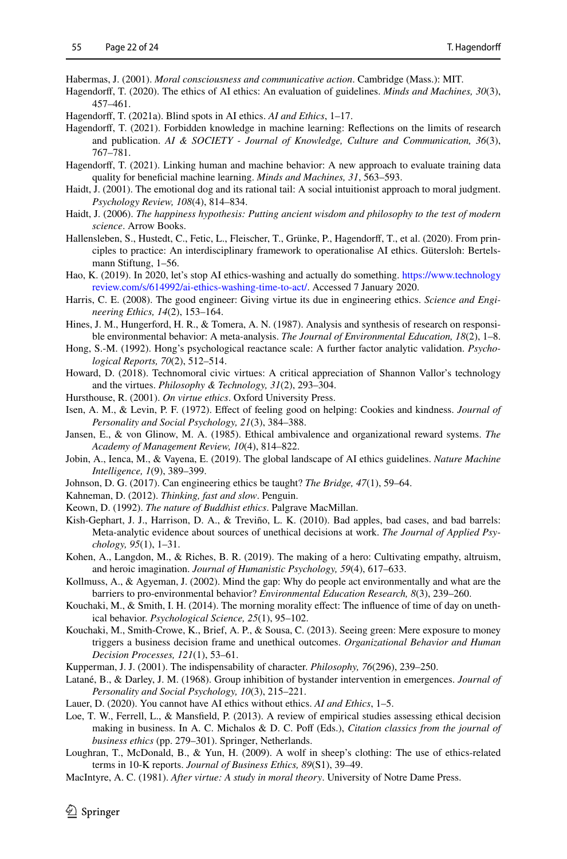<span id="page-21-29"></span>Habermas, J. (2001). *Moral consciousness and communicative action*. Cambridge (Mass.): MIT.

- <span id="page-21-0"></span>Hagendorf, T. (2020). The ethics of AI ethics: An evaluation of guidelines. *Minds and Machines, 30*(3), 457–461.
- <span id="page-21-2"></span>Hagendorf, T. (2021a). Blind spots in AI ethics. *AI and Ethics*, 1–17.
- <span id="page-21-8"></span>Hagendorf, T. (2021). Forbidden knowledge in machine learning: Refections on the limits of research and publication. *AI & SOCIETY - Journal of Knowledge, Culture and Communication, 36*(3), 767–781.
- <span id="page-21-5"></span>Hagendorff, T. (2021). Linking human and machine behavior: A new approach to evaluate training data quality for benefcial machine learning. *Minds and Machines, 31*, 563–593.
- <span id="page-21-14"></span>Haidt, J. (2001). The emotional dog and its rational tail: A social intuitionist approach to moral judgment. *Psychology Review, 108*(4), 814–834.
- <span id="page-21-24"></span>Haidt, J. (2006). *The happiness hypothesis: Putting ancient wisdom and philosophy to the test of modern science*. Arrow Books.
- <span id="page-21-4"></span>Hallensleben, S., Hustedt, C., Fetic, L., Fleischer, T., Grünke, P., Hagendorf, T., et al. (2020). From principles to practice: An interdisciplinary framework to operationalise AI ethics. Gütersloh: Bertelsmann Stiftung, 1–56.
- <span id="page-21-18"></span>Hao, K. (2019). In 2020, let's stop AI ethics-washing and actually do something. [https://www.technology](https://www.technologyreview.com/s/614992/ai-ethics-washing-time-to-act/) [review.com/s/614992/ai-ethics-washing-time-to-act/](https://www.technologyreview.com/s/614992/ai-ethics-washing-time-to-act/). Accessed 7 January 2020.
- Harris, C. E. (2008). The good engineer: Giving virtue its due in engineering ethics. *Science and Engineering Ethics, 14*(2), 153–164.
- <span id="page-21-26"></span>Hines, J. M., Hungerford, H. R., & Tomera, A. N. (1987). Analysis and synthesis of research on responsible environmental behavior: A meta-analysis. *The Journal of Environmental Education, 18*(2), 1–8.
- <span id="page-21-25"></span>Hong, S.-M. (1992). Hong's psychological reactance scale: A further factor analytic validation. *Psychological Reports, 70*(2), 512–514.
- <span id="page-21-13"></span>Howard, D. (2018). Technomoral civic virtues: A critical appreciation of Shannon Vallor's technology and the virtues. *Philosophy & Technology, 31*(2), 293–304.
- <span id="page-21-10"></span>Hursthouse, R. (2001). *On virtue ethics*. Oxford University Press.
- <span id="page-21-19"></span>Isen, A. M., & Levin, P. F. (1972). Efect of feeling good on helping: Cookies and kindness. *Journal of Personality and Social Psychology, 21*(3), 384–388.
- <span id="page-21-16"></span>Jansen, E., & von Glinow, M. A. (1985). Ethical ambivalence and organizational reward systems. *The Academy of Management Review, 10*(4), 814–822.
- <span id="page-21-1"></span>Jobin, A., Ienca, M., & Vayena, E. (2019). The global landscape of AI ethics guidelines. *Nature Machine Intelligence, 1*(9), 389–399.
- <span id="page-21-6"></span>Johnson, D. G. (2017). Can engineering ethics be taught? *The Bridge, 47*(1), 59–64.
- <span id="page-21-15"></span>Kahneman, D. (2012). *Thinking, fast and slow*. Penguin.
- <span id="page-21-11"></span>Keown, D. (1992). *The nature of Buddhist ethics*. Palgrave MacMillan.
- <span id="page-21-7"></span>Kish-Gephart, J. J., Harrison, D. A., & Treviño, L. K. (2010). Bad apples, bad cases, and bad barrels: Meta-analytic evidence about sources of unethical decisions at work. *The Journal of Applied Psychology, 95*(1), 1–31.
- <span id="page-21-12"></span>Kohen, A., Langdon, M., & Riches, B. R. (2019). The making of a hero: Cultivating empathy, altruism, and heroic imagination. *Journal of Humanistic Psychology, 59*(4), 617–633.
- <span id="page-21-27"></span>Kollmuss, A., & Agyeman, J. (2002). Mind the gap: Why do people act environmentally and what are the barriers to pro-environmental behavior? *Environmental Education Research, 8*(3), 239–260.
- <span id="page-21-21"></span>Kouchaki, M., & Smith, I. H. (2014). The morning morality efect: The infuence of time of day on unethical behavior. *Psychological Science, 25*(1), 95–102.
- <span id="page-21-22"></span>Kouchaki, M., Smith-Crowe, K., Brief, A. P., & Sousa, C. (2013). Seeing green: Mere exposure to money triggers a business decision frame and unethical outcomes. *Organizational Behavior and Human Decision Processes, 121*(1), 53–61.
- <span id="page-21-23"></span>Kupperman, J. J. (2001). The indispensability of character. *Philosophy, 76*(296), 239–250.
- <span id="page-21-20"></span>Latané, B., & Darley, J. M. (1968). Group inhibition of bystander intervention in emergences. *Journal of Personality and Social Psychology, 10*(3), 215–221.
- <span id="page-21-3"></span>Lauer, D. (2020). You cannot have AI ethics without ethics. *AI and Ethics*, 1–5.
- <span id="page-21-28"></span>Loe, T. W., Ferrell, L., & Mansfeld, P. (2013). A review of empirical studies assessing ethical decision making in business. In A. C. Michalos & D. C. Poff (Eds.), *Citation classics from the journal of business ethics* (pp. 279–301). Springer, Netherlands.
- <span id="page-21-17"></span>Loughran, T., McDonald, B., & Yun, H. (2009). A wolf in sheep's clothing: The use of ethics-related terms in 10-K reports. *Journal of Business Ethics, 89*(S1), 39–49.
- <span id="page-21-9"></span>MacIntyre, A. C. (1981). *After virtue: A study in moral theory*. University of Notre Dame Press.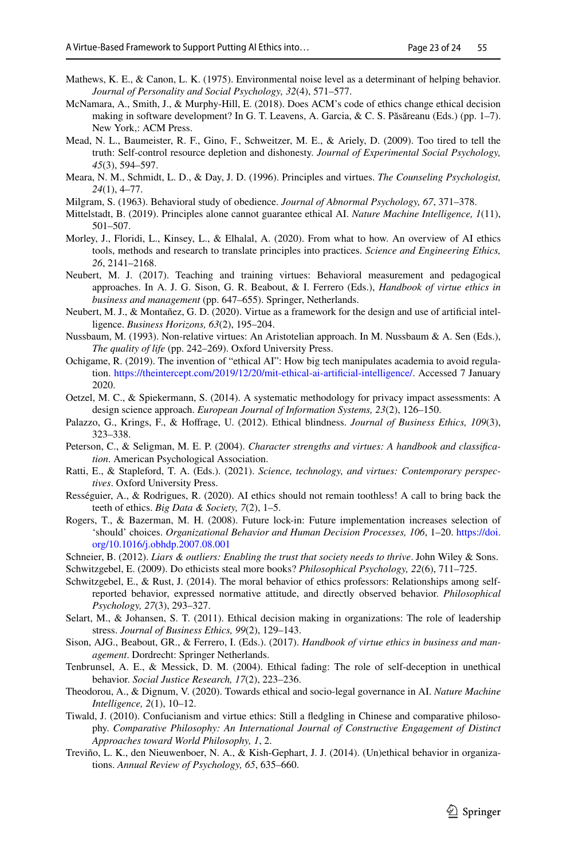- <span id="page-22-20"></span>Mathews, K. E., & Canon, L. K. (1975). Environmental noise level as a determinant of helping behavior. *Journal of Personality and Social Psychology, 32*(4), 571–577.
- <span id="page-22-8"></span>McNamara, A., Smith, J., & Murphy-Hill, E. (2018). Does ACM's code of ethics change ethical decision making in software development? In G. T. Leavens, A. Garcia, & C. S. Păsăreanu (Eds.) (pp. 1–7). New York,: ACM Press.
- <span id="page-22-19"></span>Mead, N. L., Baumeister, R. F., Gino, F., Schweitzer, M. E., & Ariely, D. (2009). Too tired to tell the truth: Self-control resource depletion and dishonesty. *Journal of Experimental Social Psychology, 45*(3), 594–597.
- <span id="page-22-12"></span>Meara, N. M., Schmidt, L. D., & Day, J. D. (1996). Principles and virtues. *The Counseling Psychologist, 24*(1), 4–77.
- <span id="page-22-22"></span>Milgram, S. (1963). Behavioral study of obedience. *Journal of Abnormal Psychology, 67*, 371–378.
- <span id="page-22-0"></span>Mittelstadt, B. (2019). Principles alone cannot guarantee ethical AI. *Nature Machine Intelligence, 1*(11), 501–507.
- <span id="page-22-1"></span>Morley, J., Floridi, L., Kinsey, L., & Elhalal, A. (2020). From what to how. An overview of AI ethics tools, methods and research to translate principles into practices. *Science and Engineering Ethics, 26*, 2141–2168.
- <span id="page-22-14"></span>Neubert, M. J. (2017). Teaching and training virtues: Behavioral measurement and pedagogical approaches. In A. J. G. Sison, G. R. Beabout, & I. Ferrero (Eds.), *Handbook of virtue ethics in business and management* (pp. 647–655). Springer, Netherlands.
- <span id="page-22-17"></span>Neubert, M. J., & Montañez, G. D. (2020). Virtue as a framework for the design and use of artifcial intelligence. *Business Horizons, 63*(2), 195–204.
- <span id="page-22-9"></span>Nussbaum, M. (1993). Non-relative virtues: An Aristotelian approach. In M. Nussbaum & A. Sen (Eds.), *The quality of life* (pp. 242–269). Oxford University Press.
- <span id="page-22-4"></span>Ochigame, R. (2019). The invention of "ethical AI": How big tech manipulates academia to avoid regulation. [https://theintercept.com/2019/12/20/mit-ethical-ai-artificial-intelligence/.](https://theintercept.com/2019/12/20/mit-ethical-ai-artificial-intelligence/) Accessed 7 January 2020.
- <span id="page-22-5"></span>Oetzel, M. C., & Spiekermann, S. (2014). A systematic methodology for privacy impact assessments: A design science approach. *European Journal of Information Systems, 23*(2), 126–150.
- <span id="page-22-21"></span>Palazzo, G., Krings, F., & Hofrage, U. (2012). Ethical blindness. *Journal of Business Ethics, 109*(3), 323–338.
- <span id="page-22-16"></span>Peterson, C., & Seligman, M. E. P. (2004). *Character strengths and virtues: A handbook and classifcation*. American Psychological Association.
- <span id="page-22-15"></span>Ratti, E., & Stapleford, T. A. (Eds.). (2021). *Science, technology, and virtues: Contemporary perspectives*. Oxford University Press.
- <span id="page-22-3"></span>Rességuier, A., & Rodrigues, R. (2020). AI ethics should not remain toothless! A call to bring back the teeth of ethics. *Big Data & Society, 7*(2), 1–5.
- <span id="page-22-23"></span>Rogers, T., & Bazerman, M. H. (2008). Future lock-in: Future implementation increases selection of 'should' choices. *Organizational Behavior and Human Decision Processes, 106*, 1–20. [https://doi.](https://doi.org/10.1016/j.obhdp.2007.08.001) [org/10.1016/j.obhdp.2007.08.001](https://doi.org/10.1016/j.obhdp.2007.08.001)
- <span id="page-22-11"></span>Schneier, B. (2012). *Liars & outliers: Enabling the trust that society needs to thrive*. John Wiley & Sons.
- <span id="page-22-6"></span>Schwitzgebel, E. (2009). Do ethicists steal more books? *Philosophical Psychology, 22*(6), 711–725.
- <span id="page-22-7"></span>Schwitzgebel, E., & Rust, J. (2014). The moral behavior of ethics professors: Relationships among selfreported behavior, expressed normative attitude, and directly observed behavior. *Philosophical Psychology, 27*(3), 293–327.
- <span id="page-22-25"></span>Selart, M., & Johansen, S. T. (2011). Ethical decision making in organizations: The role of leadership stress. *Journal of Business Ethics, 99*(2), 129–143.
- <span id="page-22-13"></span>Sison, AJG., Beabout, GR., & Ferrero, I. (Eds.). (2017). *Handbook of virtue ethics in business and management*. Dordrecht: Springer Netherlands.
- <span id="page-22-18"></span>Tenbrunsel, A. E., & Messick, D. M. (2004). Ethical fading: The role of self-deception in unethical behavior. *Social Justice Research, 17*(2), 223–236.
- <span id="page-22-2"></span>Theodorou, A., & Dignum, V. (2020). Towards ethical and socio-legal governance in AI. *Nature Machine Intelligence, 2*(1), 10–12.
- <span id="page-22-10"></span>Tiwald, J. (2010). Confucianism and virtue ethics: Still a fedgling in Chinese and comparative philosophy. *Comparative Philosophy: An International Journal of Constructive Engagement of Distinct Approaches toward World Philosophy, 1*, 2.
- <span id="page-22-24"></span>Treviño, L. K., den Nieuwenboer, N. A., & Kish-Gephart, J. J. (2014). (Un)ethical behavior in organizations. *Annual Review of Psychology, 65*, 635–660.